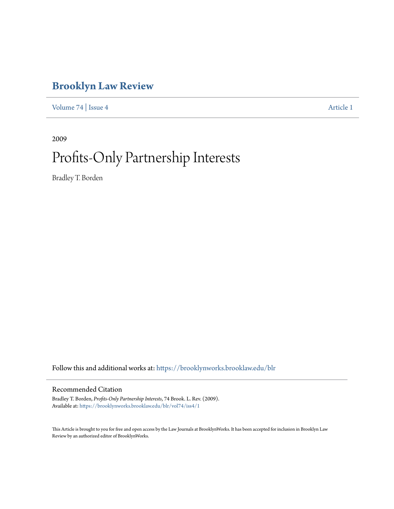# **[Brooklyn Law Review](https://brooklynworks.brooklaw.edu/blr?utm_source=brooklynworks.brooklaw.edu%2Fblr%2Fvol74%2Fiss4%2F1&utm_medium=PDF&utm_campaign=PDFCoverPages)**

[Volume 74](https://brooklynworks.brooklaw.edu/blr/vol74?utm_source=brooklynworks.brooklaw.edu%2Fblr%2Fvol74%2Fiss4%2F1&utm_medium=PDF&utm_campaign=PDFCoverPages) | [Issue 4](https://brooklynworks.brooklaw.edu/blr/vol74/iss4?utm_source=brooklynworks.brooklaw.edu%2Fblr%2Fvol74%2Fiss4%2F1&utm_medium=PDF&utm_campaign=PDFCoverPages) [Article 1](https://brooklynworks.brooklaw.edu/blr/vol74/iss4/1?utm_source=brooklynworks.brooklaw.edu%2Fblr%2Fvol74%2Fiss4%2F1&utm_medium=PDF&utm_campaign=PDFCoverPages)

2009

# Profits-Only Partnership Interests

Bradley T. Borden

Follow this and additional works at: [https://brooklynworks.brooklaw.edu/blr](https://brooklynworks.brooklaw.edu/blr?utm_source=brooklynworks.brooklaw.edu%2Fblr%2Fvol74%2Fiss4%2F1&utm_medium=PDF&utm_campaign=PDFCoverPages)

# Recommended Citation

Bradley T. Borden, *Profits-Only Partnership Interests*, 74 Brook. L. Rev. (2009). Available at: [https://brooklynworks.brooklaw.edu/blr/vol74/iss4/1](https://brooklynworks.brooklaw.edu/blr/vol74/iss4/1?utm_source=brooklynworks.brooklaw.edu%2Fblr%2Fvol74%2Fiss4%2F1&utm_medium=PDF&utm_campaign=PDFCoverPages)

This Article is brought to you for free and open access by the Law Journals at BrooklynWorks. It has been accepted for inclusion in Brooklyn Law Review by an authorized editor of BrooklynWorks.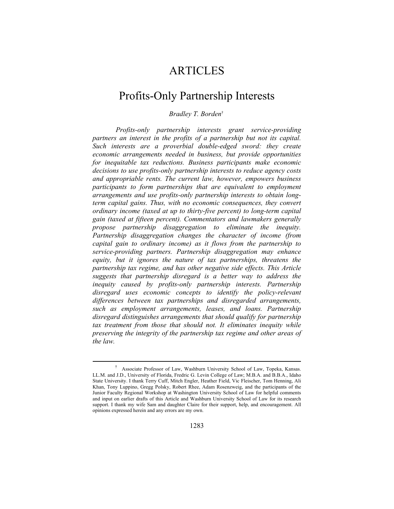# **ARTICLES**

# Profits-Only Partnership Interests

# *Bradley T. Borden*†

*Profits-only partnership interests grant service-providing partners an interest in the profits of a partnership but not its capital. Such interests are a proverbial double-edged sword: they create economic arrangements needed in business, but provide opportunities for inequitable tax reductions. Business participants make economic decisions to use profits-only partnership interests to reduce agency costs and appropriable rents. The current law, however, empowers business participants to form partnerships that are equivalent to employment arrangements and use profits-only partnership interests to obtain longterm capital gains. Thus, with no economic consequences, they convert ordinary income (taxed at up to thirty-five percent) to long-term capital gain (taxed at fifteen percent). Commentators and lawmakers generally propose partnership disaggregation to eliminate the inequity. Partnership disaggregation changes the character of income (from capital gain to ordinary income) as it flows from the partnership to service-providing partners. Partnership disaggregation may enhance equity, but it ignores the nature of tax partnerships, threatens the partnership tax regime, and has other negative side effects. This Article suggests that partnership disregard is a better way to address the inequity caused by profits-only partnership interests. Partnership disregard uses economic concepts to identify the policy-relevant differences between tax partnerships and disregarded arrangements, such as employment arrangements, leases, and loans. Partnership disregard distinguishes arrangements that should qualify for partnership tax treatment from those that should not. It eliminates inequity while preserving the integrity of the partnership tax regime and other areas of the law.*

 <sup>†</sup> Associate Professor of Law, Washburn University School of Law, Topeka, Kansas. LL.M. and J.D., University of Florida, Fredric G. Levin College of Law; M.B.A. and B.B.A., Idaho State University. I thank Terry Cuff, Mitch Engler, Heather Field, Vic Fleischer, Tom Henning, Ali Khan, Tony Luppino, Gregg Polsky, Robert Rhee, Adam Rosenzweig, and the participants of the Junior Faculty Regional Workshop at Washington University School of Law for helpful comments and input on earlier drafts of this Article and Washburn University School of Law for its research support. I thank my wife Sam and daughter Claire for their support, help, and encouragement. All opinions expressed herein and any errors are my own.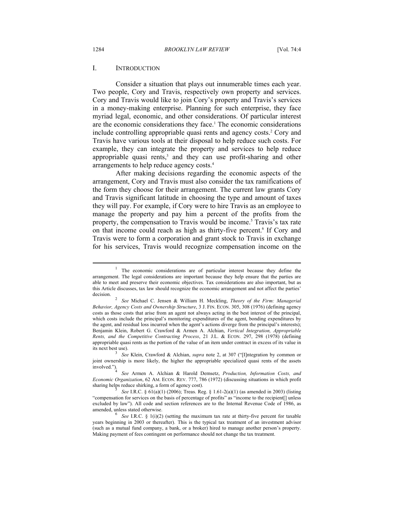#### I. INTRODUCTION

Consider a situation that plays out innumerable times each year. Two people, Cory and Travis, respectively own property and services. Cory and Travis would like to join Cory's property and Travis's services in a money-making enterprise. Planning for such enterprise, they face myriad legal, economic, and other considerations. Of particular interest are the economic considerations they face.<sup>1</sup> The economic considerations include controlling appropriable quasi rents and agency costs.<sup>2</sup> Cory and Travis have various tools at their disposal to help reduce such costs. For example, they can integrate the property and services to help reduce appropriable quasi rents,<sup>3</sup> and they can use profit-sharing and other arrangements to help reduce agency costs.4

After making decisions regarding the economic aspects of the arrangement, Cory and Travis must also consider the tax ramifications of the form they choose for their arrangement. The current law grants Cory and Travis significant latitude in choosing the type and amount of taxes they will pay. For example, if Cory were to hire Travis as an employee to manage the property and pay him a percent of the profits from the property, the compensation to Travis would be income.<sup>5</sup> Travis's tax rate on that income could reach as high as thirty-five percent.<sup>6</sup> If Cory and Travis were to form a corporation and grant stock to Travis in exchange for his services, Travis would recognize compensation income on the

 $1$  The economic considerations are of particular interest because they define the arrangement. The legal considerations are important because they help ensure that the parties are able to meet and preserve their economic objectives. Tax considerations are also important, but as this Article discusses, tax law should recognize the economic arrangement and not affect the parties' decision. 2 *See* Michael C. Jensen & William H. Meckling, *Theory of the Firm: Managerial* 

*Behavior, Agency Costs and Ownership Structure*, 3 J. FIN. ECON. 305, 308 (1976) (defining agency costs as those costs that arise from an agent not always acting in the best interest of the principal, which costs include the principal's monitoring expenditures of the agent, bonding expenditures by the agent, and residual loss incurred when the agent's actions diverge from the principal's interests); Benjamin Klein, Robert G. Crawford & Armen A. Alchian, *Vertical Integration, Appropriable Rents, and the Competitive Contracting Process*, 21 J.L. & ECON. 297, 298 (1978) (defining appropriable quasi rents as the portion of the value of an item under contract in excess of its value in its next best use). 3 *See* Klein, Crawford & Alchian, *supra* note 2, at 307 ("[I]ntegration by common or

joint ownership is more likely, the higher the appropriable specialized quasi rents of the assets involved.").

See Armen A. Alchian & Harold Demsetz, *Production, Information Costs, and Economic Organization*, 62 AM. ECON. REV. 777, 786 (1972) (discussing situations in which profit sharing helps reduce shirking, a form of agency cost). 5 *See* I.R.C. § 61(a)(1) (2006); Treas. Reg. § 1.61-2(a)(1) (as amended in 2003) (listing

<sup>&</sup>quot;compensation for services on the basis of percentage of profits" as "income to the recipient[] unless excluded by law"). All code and section references are to the Internal Revenue Code of 1986, as amended, unless stated otherwise. 6 *See* I.R.C. § 1(i)(2) (setting the maximum tax rate at thirty-five percent for taxable

years beginning in 2003 or thereafter). This is the typical tax treatment of an investment advisor (such as a mutual fund company, a bank, or a broker) hired to manage another person's property. Making payment of fees contingent on performance should not change the tax treatment.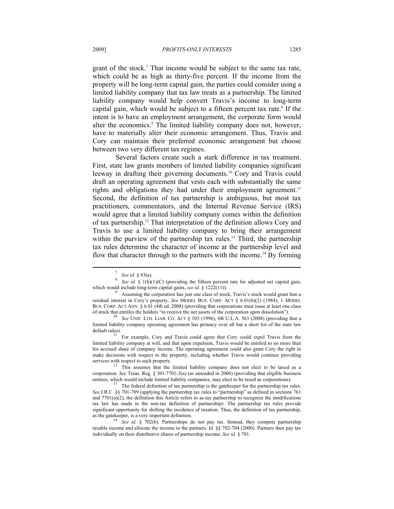grant of the stock.<sup>7</sup> That income would be subject to the same tax rate, which could be as high as thirty-five percent. If the income from the property will be long-term capital gain, the parties could consider using a limited liability company that tax law treats as a partnership. The limited liability company would help convert Travis's income to long-term capital gain, which would be subject to a fifteen percent tax rate.<sup>8</sup> If the intent is to have an employment arrangement, the corporate form would alter the economics.<sup>9</sup> The limited liability company does not, however, have to materially alter their economic arrangement. Thus, Travis and Cory can maintain their preferred economic arrangement but choose between two very different tax regimes.

Several factors create such a stark difference in tax treatment. First, state law grants members of limited liability companies significant leeway in drafting their governing documents.10 Cory and Travis could draft an operating agreement that vests each with substantially the same rights and obligations they had under their employment agreement.<sup>11</sup> Second, the definition of tax partnership is ambiguous, but most tax practitioners, commentators, and the Internal Revenue Service (IRS) would agree that a limited liability company comes within the definition of tax partnership.12 That interpretation of the definition allows Cory and Travis to use a limited liability company to bring their arrangement within the purview of the partnership tax rules.<sup>13</sup> Third, the partnership tax rules determine the character of income at the partnership level and flow that character through to the partners with the income.14 By forming

*See id.* § 83(a). *See id.* § 1(h)(1)(C) (providing the fifteen percent rate for adjusted net capital gain, which would include long-term capital gains, *see id.* § 1222(11)).<br><sup>9</sup> Assuming the corporation has just one class of stock, Travis's stock would grant him a

residual interest in Cory's property. *See* MODEL BUS. CORP. ACT § 6.01(b)(2) (1984); 1 MODEL BUS. CORP. ACT ANN. § 6.01 (4th ed. 2008) (providing that corporations must issue at least one class of stock that entitles the holders "to receive the net assets of the corporation upon dissolution"). 10 *See* UNIF. LTD. LIAB. CO. ACT § 103 (1996), 6B U.L.A. 563 (2008) (providing that a

limited liability company operating agreement has primacy over all but a short list of the state law

 $\frac{11}{11}$  For example, Cory and Travis could agree that Cory could expel Travis from the limited liability company at will, and that upon expulsion, Travis would be entitled to no more than his accrued share of company income. The operating agreement could also grant Cory the right to make decisions with respect to the property, including whether Travis would continue providing services with respect to such property.<br><sup>12</sup> This assumes that the limited liability company does not elect to be taxed as a

corporation. *See* Treas. Reg. § 301.7701-3(a) (as amended in 2006) (providing that eligible business entities, which would include limited liability companies, may elect to be taxed as corporations).<br><sup>13</sup> The federal definition of tax partnership is the gatekeeper for the partnership tax rules.

*See* I.R.C. §§ 701-709 (applying the partnership tax rules to "partnership" as defined in sections 761 and  $7701(a)(2)$ , the definition this Article refers to as tax partnership to recognize the modifications tax law has made to the non-tax definition of partnership). The partnership tax rules provide significant opportunity for shifting the incidence of taxation. Thus, the definition of tax partnership, as the gatekeeper, is a very important definition.<br><sup>14</sup> *See id.* § 702(b). Partnerships do not pay tax. Instead, they compute partnership

taxable income and allocate the income to the partners. *Id.* §§ 702-704 (2000). Partners then pay tax individually on their distributive shares of partnership income. *See id.* § 701.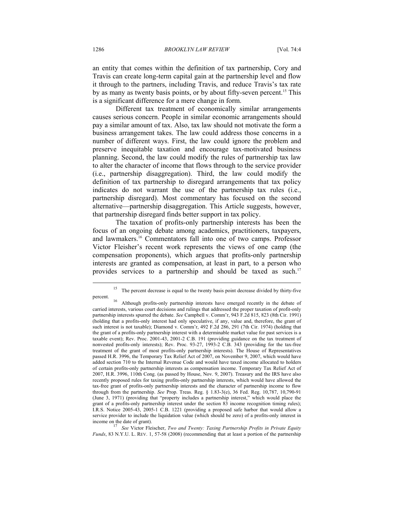an entity that comes within the definition of tax partnership, Cory and Travis can create long-term capital gain at the partnership level and flow it through to the partners, including Travis, and reduce Travis's tax rate by as many as twenty basis points, or by about fifty-seven percent.15 This is a significant difference for a mere change in form.

Different tax treatment of economically similar arrangements causes serious concern. People in similar economic arrangements should pay a similar amount of tax. Also, tax law should not motivate the form a business arrangement takes. The law could address those concerns in a number of different ways. First, the law could ignore the problem and preserve inequitable taxation and encourage tax-motivated business planning. Second, the law could modify the rules of partnership tax law to alter the character of income that flows through to the service provider (i.e., partnership disaggregation). Third, the law could modify the definition of tax partnership to disregard arrangements that tax policy indicates do not warrant the use of the partnership tax rules (i.e., partnership disregard). Most commentary has focused on the second alternative—partnership disaggregation. This Article suggests, however, that partnership disregard finds better support in tax policy.

The taxation of profits-only partnership interests has been the focus of an ongoing debate among academics, practitioners, taxpayers, and lawmakers.16 Commentators fall into one of two camps. Professor Victor Fleisher's recent work represents the views of one camp (the compensation proponents), which argues that profits-only partnership interests are granted as compensation, at least in part, to a person who provides services to a partnership and should be taxed as such.<sup>17</sup>

<sup>&</sup>lt;sup>15</sup> The percent decrease is equal to the twenty basis point decrease divided by thirty-five

percent. 16 Although profits-only partnership interests have emerged recently in the debate of carried interests, various court decisions and rulings that addressed the proper taxation of profit-only partnership interests spurred the debate. *See* Campbell v. Comm'r, 943 F.2d 815, 823 (8th Cir. 1991) (holding that a profits-only interest had only speculative, if any, value and, therefore, the grant of such interest is not taxable); Diamond v. Comm'r, 492 F.2d 286, 291 (7th Cir. 1974) (holding that the grant of a profits-only partnership interest with a determinable market value for past services is a taxable event); Rev. Proc. 2001-43, 2001-2 C.B. 191 (providing guidance on the tax treatment of nonvested profits-only interests); Rev. Proc. 93-27, 1993-2 C.B. 343 (providing for the tax-free treatment of the grant of most profits-only partnership interests). The House of Representatives passed H.R. 3996, the Temporary Tax Relief Act of 2007, on November 9, 2007, which would have added section 710 to the Internal Revenue Code and would have taxed income allocated to holders of certain profits-only partnership interests as compensation income. Temporary Tax Relief Act of 2007, H.R. 3996, 110th Cong. (as passed by House, Nov. 9, 2007). Treasury and the IRS have also recently proposed rules for taxing profits-only partnership interests, which would have allowed the tax-free grant of profits-only partnership interests and the character of partnership income to flow through from the partnership. *See* Prop. Treas. Reg. § 1.83-3(e), 36 Fed. Reg. 10,787, 10,790-91 (June 3, 1971) (providing that "property includes a partnership interest," which would place the grant of a profits-only partnership interest under the section 83 income recognition timing rules); I.R.S. Notice 2005-43, 2005-1 C.B. 1221 (providing a proposed safe harbor that would allow a service provider to include the liquidation value (which should be zero) of a profits-only interest in income on the date of grant).<br>
<sup>17</sup> See *Mister Flaischer, Thus and T* 

See Victor Fleischer, *Two and Twenty: Taxing Partnership Profits in Private Equity Funds*, 83 N.Y.U. L. REV. 1, 57-58 (2008) (recommending that at least a portion of the partnership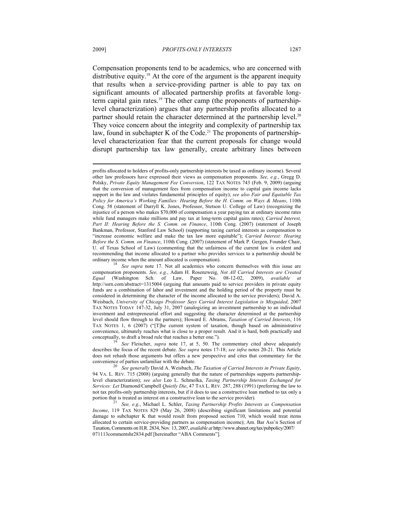Compensation proponents tend to be academics, who are concerned with distributive equity.<sup>18</sup> At the core of the argument is the apparent inequity that results when a service-providing partner is able to pay tax on significant amounts of allocated partnership profits at favorable longterm capital gain rates.<sup>19</sup> The other camp (the proponents of partnershiplevel characterization) argues that any partnership profits allocated to a partner should retain the character determined at the partnership level.<sup>20</sup> They voice concern about the integrity and complexity of partnership tax law, found in subchapter K of the Code.<sup>21</sup> The proponents of partnershiplevel characterization fear that the current proposals for change would disrupt partnership tax law generally, create arbitrary lines between

describes the focus of the recent debate. *See supra* notes 17-18; *see infra* notes 20-21. This Article does not rehash those arguments but offers a new perspective and cites that commentary for the convenience of parties unfamiliar with the debate. 20 *See generally* David A. Weisbach, *The Taxation of Carried Interests in Private Equity*,

94 VA. L. REV. 715 (2008) (arguing generally that the nature of partnerships supports partnershiplevel characterization); *see also* Leo L. Schmolka, *Taxing Partnership Interests Exchanged for Services: Let* Diamond/Campbell *Quietly Die*, 47 TAX L. REV. 287, 288 (1991) (preferring the law to not tax profits-only partnership interests, but if it does to use a constructive loan method to tax only a portion that is treated as interest on a constructive loan to the service provider).<br><sup>21</sup> *See, e.g.*, Michael L. Schler, *Taxing Partnership Profits Interests as Compensation* 

*Income*, 119 TAX NOTES 829 (May 26, 2008) (describing significant limitations and potential damage to subchapter K that would result from proposed section 710, which would treat items allocated to certain service-providing partners as compensation income); Am. Bar Ass'n Section of Taxation, Comments on H.R. 2834, Nov. 13, 2007, *available at* http://www.abanet.org/tax/pubpolicy/2007/ 071113commentshr2834.pdf [hereinafter "ABA Comments"].

profits allocated to holders of profits-only partnership interests be taxed as ordinary income). Several other law professors have expressed their views as compensation proponents. *See, e.g.*, Gregg D. Polsky, *Private Equity Management Fee Conversion*, 122 TAX NOTES 743 (Feb. 9, 2009) (arguing that the conversion of management fees from compensation income to capital gain income lacks support in the law and violates fundamental principles of equity); *see also Fair and Equitable Tax Policy for America's Working Families: Hearing Before the H. Comm. on Ways & Means*, 110th Cong. 58 (statement of Darryll K. Jones, Professor, Stetson U. College of Law) (recognizing the injustice of a person who makes \$70,000 of compensation a year paying tax at ordinary income rates while fund managers make millions and pay tax at long-term capital gains rates); *Carried Interest, Part II: Hearing Before the S. Comm. on Finance*, 110th Cong. (2007) (statement of Joseph Bankman, Professor, Stanford Law School) (supporting taxing carried interests as compensation to "increase economic welfare and make the tax law more equitable"); *Carried Interest: Hearing Before the S. Comm. on Finance*, 110th Cong. (2007) (statement of Mark P. Gergen, Founder Chair, U. of Texas School of Law) (commenting that the unfairness of the current law is evident and recommending that income allocated to a partner who provides services to a partnership should be

See *supra* note 17. Not all academics who concern themselves with this issue are compensation proponents. *See, e.g.*, Adam H. Rosenzweig, *Not All Carried Interests are Created Equal* (Washington Sch. of Law, Paper No. 08-12-02, 2009), *available at* http://ssrn.com/abstract=1315004 (arguing that amounts paid to service providers in private equity funds are a combination of labor and investment and the holding period of the property must be considered in determining the character of the income allocated to the service providers); David A. Weisbach, *University of Chicago Professor Says Carried Interest Legislation is Misguided*, 2007 TAX NOTES TODAY 147-32, July 31, 2007 (analogizing an investment partnership to an individual investment and entrepreneurial effort and suggesting the character determined at the partnership level should flow through to the partners); Howard E. Abrams, *Taxation of Carried Interests*, 116 TAX NOTES 1, 6 (2007) ("[T]he current system of taxation, though based on administrative convenience, ultimately reaches what is close to a proper result. And it is hard, both practically and conceptually, to draft a broad rule that reaches a better one."). 19 *See* Fleischer, *supra* note 17, at 5, 50. The commentary cited above adequately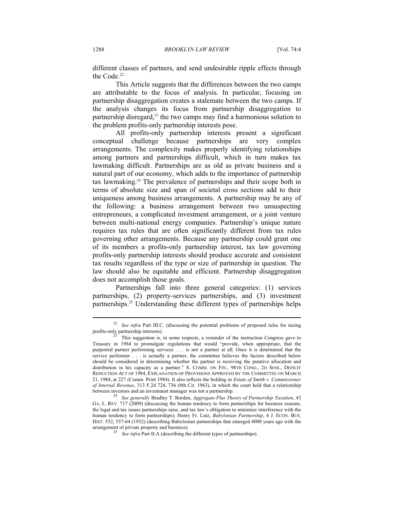different classes of partners, and send undesirable ripple effects through the Code.<sup>22</sup>

This Article suggests that the differences between the two camps are attributable to the focus of analysis. In particular, focusing on partnership disaggregation creates a stalemate between the two camps. If the analysis changes its focus from partnership disaggregation to partnership disregard,<sup>23</sup> the two camps may find a harmonious solution to the problem profits-only partnership interests pose.

All profits-only partnership interests present a significant conceptual challenge because partnerships are very complex arrangements. The complexity makes properly identifying relationships among partners and partnerships difficult, which in turn makes tax lawmaking difficult. Partnerships are as old as private business and a natural part of our economy, which adds to the importance of partnership tax lawmaking.24 The prevalence of partnerships and their scope both in terms of absolute size and span of societal cross sections add to their uniqueness among business arrangements. A partnership may be any of the following: a business arrangement between two unsuspecting entrepreneurs, a complicated investment arrangement, or a joint venture between multi-national energy companies. Partnership's unique nature requires tax rules that are often significantly different from tax rules governing other arrangements. Because any partnership could grant one of its members a profits-only partnership interest, tax law governing profits-only partnership interests should produce accurate and consistent tax results regardless of the type or size of partnership in question. The law should also be equitable and efficient. Partnership disaggregation does not accomplish those goals.

Partnerships fall into three general categories: (1) services partnerships, (2) property-services partnerships, and (3) investment partnerships.25 Understanding these different types of partnerships helps

<sup>&</sup>lt;sup>22</sup> *See infra* Part III.C. (discussing the potential problems of proposed rules for taxing profits-only partnership interests).

This suggestion is, in some respects, a reminder of the instruction Congress gave to Treasury in 1984 to promulgate regulations that would "provide, when appropriate, that the purported partner performing services . . . is not a partner at all. Once it is determined that the service performer . . . is actually a partner, the committee believes the factors described below should be considered in determining whether the partner is receiving the putative allocation and distribution in his capacity as a partner." S. COMM. ON FIN., 98TH CONG., 2D SESS., DEFICIT REDUCTION ACT OF 1984, EXPLANATION OF PROVISIONS APPROVED BY THE COMMITTEE ON MARCH 21, 1984, at 227 (Comm. Print 1984). It also reflects the holding in *Estate of Smith v. Commissioner of Internal Revenue*, 313 F.2d 724, 736 (8th Cir. 1963), in which the court held that a relationship between investors and an investment manager was not a partnership. 24 *See generally* Bradley T. Borden, *Aggregate-Plus Theory of Partnership Taxation*, 43

GA. L. REV. 717 (2009) (discussing the human tendency to form partnerships for business reasons, the legal and tax issues partnerships raise, and tax law's obligation to minimize interference with the human tendency to form partnerships); Henry Fr. Lutz, *Babylonian Partnership*, 4 J. ECON. BUS. HIST. 552, 557-64 (1932) (describing Babylonian partnerships that emerged 4000 years ago with the

<sup>&</sup>lt;sup>25</sup> *See infra* Part II.A (describing the different types of partnerships).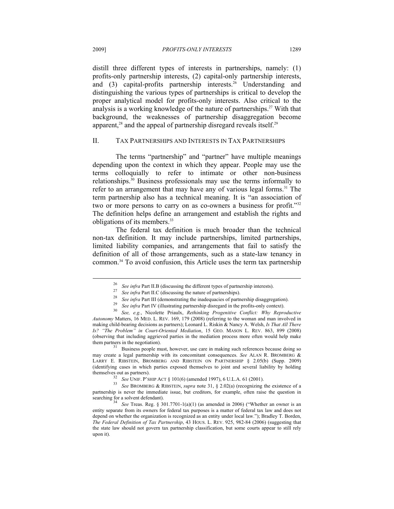distill three different types of interests in partnerships, namely: (1) profits-only partnership interests, (2) capital-only partnership interests, and (3) capital-profits partnership interests.<sup>26</sup> Understanding and distinguishing the various types of partnerships is critical to develop the proper analytical model for profits-only interests. Also critical to the analysis is a working knowledge of the nature of partnerships.<sup>27</sup> With that background, the weaknesses of partnership disaggregation become apparent,<sup>28</sup> and the appeal of partnership disregard reveals itself.<sup>29</sup>

# II. TAX PARTNERSHIPS AND INTERESTS IN TAX PARTNERSHIPS

The terms "partnership" and "partner" have multiple meanings depending upon the context in which they appear. People may use the terms colloquially to refer to intimate or other non-business relationships.30 Business professionals may use the terms informally to refer to an arrangement that may have any of various legal forms.<sup>31</sup> The term partnership also has a technical meaning. It is "an association of two or more persons to carry on as co-owners a business for profit."32 The definition helps define an arrangement and establish the rights and obligations of its members.33

The federal tax definition is much broader than the technical non-tax definition. It may include partnerships, limited partnerships, limited liability companies, and arrangements that fail to satisfy the definition of all of those arrangements, such as a state-law tenancy in common.34 To avoid confusion, this Article uses the term tax partnership

<sup>&</sup>lt;sup>26</sup> See infra Part II.B (discussing the different types of partnership interests).<br><sup>27</sup> See infra Part II.C (discussing the nature of partnerships).<br><sup>28</sup> See infra Part III (demonstrating the inadequacies of partnership *Autonomy* Matters, 16 MED. L. REV. 169, 179 (2008) (referring to the woman and man involved in making child-bearing decisions as partners); Leonard L. Riskin & Nancy A. Welsh, *Is That All There Is? "The Problem" in Court-Oriented Mediation*, 15 GEO. MASON L. REV. 863, 899 (2008) (observing that including aggrieved parties in the mediation process more often would help make them partners in the negotiation).<br><sup>31</sup> Business people must, however, use care in making such references because doing so

may create a legal partnership with its concomitant consequences. *See* ALAN R. BROMBERG & LARRY E. RIBSTEIN, BROMBERG AND RIBSTEIN ON PARTNERSHIP § 2.05(b) (Supp. 2009) (identifying cases in which parties exposed themselves to joint and several liability by holding

themselves out as partners). 32 *See* UNIF. P'SHIP ACT § 101(6) (amended 1997), 6 U.L.A. 61 (2001). 33 *See* BROMBERG & RIBSTEIN, *supra* note 31, § 2.02(a) (recognizing the existence of a partnership is never the immediate issue, but creditors, for example, often raise the question in searching for a solvent defendant).<br><sup>34</sup> *See* Treas. Reg. § 301.7701-1(a)(1) (as amended in 2006) ("Whether an owner is an

entity separate from its owners for federal tax purposes is a matter of federal tax law and does not depend on whether the organization is recognized as an entity under local law."); Bradley T. Borden, *The Federal Definition of Tax Partnership*, 43 HOUS. L. REV. 925, 982-84 (2006) (suggesting that the state law should not govern tax partnership classification, but some courts appear to still rely upon it).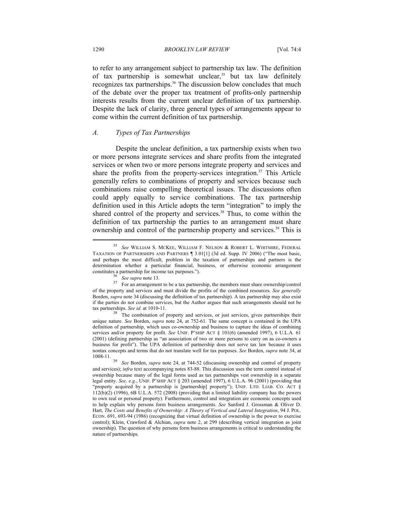to refer to any arrangement subject to partnership tax law. The definition of tax partnership is somewhat unclear,<sup>35</sup> but tax law definitely recognizes tax partnerships.<sup>36</sup> The discussion below concludes that much of the debate over the proper tax treatment of profits-only partnership interests results from the current unclear definition of tax partnership. Despite the lack of clarity, three general types of arrangements appear to come within the current definition of tax partnership.

# *A. Types of Tax Partnerships*

Despite the unclear definition, a tax partnership exists when two or more persons integrate services and share profits from the integrated services or when two or more persons integrate property and services and share the profits from the property-services integration.<sup>37</sup> This Article generally refers to combinations of property and services because such combinations raise compelling theoretical issues. The discussions often could apply equally to service combinations. The tax partnership definition used in this Article adopts the term "integration" to imply the shared control of the property and services.<sup>38</sup> Thus, to come within the definition of tax partnership the parties to an arrangement must share ownership and control of the partnership property and services.<sup>39</sup> This is

unique nature. *See* Borden, *supra* note 24, at 752-61. The same concept is contained in the UPA definition of partnership, which uses co-ownership and business to capture the ideas of combining services and/or property for profit. *See* UNIF. P'SHIP ACT § 101(6) (amended 1997), 6 U.L.A. 61 (2001) (defining partnership as "an association of two or more persons to carry on as co-owners a business for profit"). The UPA definition of partnership does not serve tax law because it uses nontax concepts and terms that do not translate well for tax purposes. *See* Borden, *supra* note 34, at

<sup>35</sup> *See* WILLIAM S. MCKEE, WILLIAM F. NELSON & ROBERT L. WHITMIRE, FEDERAL TAXATION OF PARTNERSHIPS AND PARTNERS ¶ 3.01[1] (3d ed. Supp. IV 2006) ("The most basic, and perhaps the most difficult, problem in the taxation of partnerships and partners is the determination whether a particular financial, business, or otherwise economic arrangement

constitutes a partnership for income tax purposes.").<br><sup>36</sup> *See supra* note 13. For an arrangement to be a tax partnership, the members must share ownership/control<br><sup>37</sup> of the property and services and must divide the profits of the combined resources. *See generally* Borden, *supra* note 34 (discussing the definition of tax partnership). A tax partnership may also exist if the parties do not combine services, but the Author argues that such arrangements should not be tax partnerships. *See id.* at 1010-11. The combination of property and services, or just services, gives partnerships their

<sup>&</sup>lt;sup>39</sup> *See* Borden, *supra* note 24, at 744-52 (discussing ownership and control of property and services); *infra* text accompanying notes 83-88. This discussion uses the term control instead of ownership because many of the legal forms used as tax partnerships vest ownership in a separate legal entity. *See, e.g.*, UNIF. P'SHIP ACT § 203 (amended 1997), 6 U.L.A. 96 (2001) (providing that "property acquired by a partnership is [partnership] property"); UNIF. LTD. LIAB. CO. ACT § 112(b)(2) (1996), 6B U.L.A. 572 (2008) (providing that a limited liability company has the powers to own real or personal property). Furthermore, control and integration are economic concepts used to help explain why persons form business arrangements. *See* Sanford J. Grossman & Oliver D. Hart, *The Costs and Benefits of Ownership: A Theory of Vertical and Lateral Integration*, 94 J. POL. ECON. 691, 693-94 (1986) (recognizing that virtual definition of ownership is the power to exercise control); Klein, Crawford & Alchian, *supra* note 2, at 299 (describing vertical integration as joint ownership). The question of why persons form business arrangements is critical to understanding the nature of partnerships.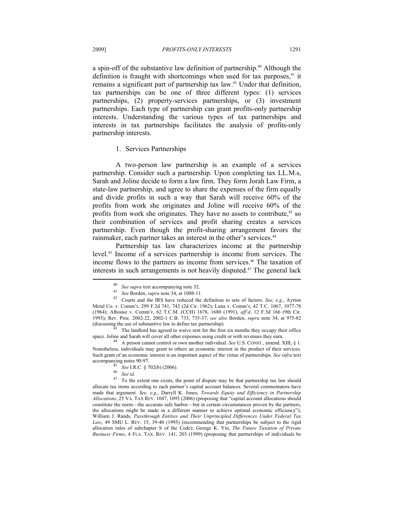a spin-off of the substantive law definition of partnership.<sup>40</sup> Although the definition is fraught with shortcomings when used for tax purposes, $41$  it remains a significant part of partnership tax law.<sup>42</sup> Under that definition, tax partnerships can be one of three different types: (1) services partnerships, (2) property-services partnerships, or (3) investment partnerships. Each type of partnership can grant profits-only partnership interests. Understanding the various types of tax partnerships and interests in tax partnerships facilitates the analysis of profits-only partnership interests.

1. Services Partnerships

A two-person law partnership is an example of a services partnership. Consider such a partnership. Upon completing tax LL.M.s, Sarah and Joline decide to form a law firm. They form Jorah Law Firm, a state-law partnership, and agree to share the expenses of the firm equally and divide profits in such a way that Sarah will receive 60% of the profits from work she originates and Joline will receive 60% of the profits from work she originates. They have no assets to contribute, $43$  so their combination of services and profit sharing creates a services partnership. Even though the profit-sharing arrangement favors the rainmaker, each partner takes an interest in the other's services.<sup>44</sup>

Partnership tax law characterizes income at the partnership level.45 Income of a services partnership is income from services. The income flows to the partners as income from services.46 The taxation of interests in such arrangements is not heavily disputed.<sup>47</sup> The general lack

<sup>40</sup> *See supra* text accompanying note 32. 41 *See* Borden, *supra* note 34, at 1008-11. 42 Courts and the IRS have reduced the definition to sets of factors. *See, e.g.*, Ayrton Metal Co. v. Comm'r, 299 F.2d 741, 742 (2d Cir. 1962); Luna v. Comm'r, 42 T.C. 1067, 1077-78 (1964); Alhouse v. Comm'r, 62 T.C.M. (CCH) 1678, 1680 (1991), *aff'd*, 12 F.3d 166 (9th Cir. 1993); Rev. Proc. 2002-22, 2002-1 C.B. 733, 735-37; *see also* Borden, *supra* note 34, at 975-82

The landlord has agreed to waive rent for the first six months they occupy their office space. Joline and Sarah will cover all other expenses using credit or with revenues they earn.<br><sup>44</sup> A person cannot control or own another individual. *See* U.S. CONST., amend. XIII, § 1.

Nonetheless, individuals may grant to others an economic interest in the product of their services. Such grant of an economic interest is an important aspect of the virtue of partnerships. *See infra* text

accompanying notes 90-97.<br><sup>45</sup> *See* I.R.C. § 702(b) (2006).<br><sup>47</sup> *See id.* To the extent one exists, the point of dispute may be that partnership tax law should allocate tax items according to each partner's capital account balances. Several commentators have made that argument. *See, e.g.*, Darryll K. Jones, *Towards Equity and Efficiency in Partnership Allocations*, 25 VA. TAX REV. 1047, 1093 (2006) (proposing that "capital account allocations should constitute the norm—the accurate safe harbor—but in certain circumstances proven by the partners, the allocations might be made in a different manner to achieve optimal economic efficiency"); William J. Rands, *Passthrough Entities and Their Unprincipled Differences Under Federal Tax Law*, 49 SMU L. REV. 15, 39-40 (1995) (recommending that partnerships be subject to the rigid allocation rules of subchapter S of the Code); George K. Yin, *The Future Taxation of Private Business Firms*, 4 FLA. TAX. REV. 141, 203 (1999) (proposing that partnerships of individuals be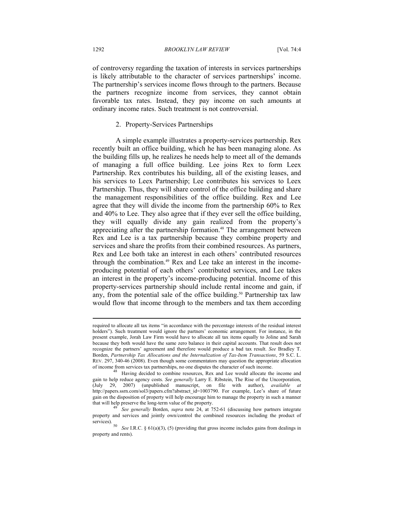of controversy regarding the taxation of interests in services partnerships is likely attributable to the character of services partnerships' income. The partnership's services income flows through to the partners. Because the partners recognize income from services, they cannot obtain favorable tax rates. Instead, they pay income on such amounts at ordinary income rates. Such treatment is not controversial.

# 2. Property-Services Partnerships

A simple example illustrates a property-services partnership. Rex recently built an office building, which he has been managing alone. As the building fills up, he realizes he needs help to meet all of the demands of managing a full office building. Lee joins Rex to form Leex Partnership. Rex contributes his building, all of the existing leases, and his services to Leex Partnership; Lee contributes his services to Leex Partnership. Thus, they will share control of the office building and share the management responsibilities of the office building. Rex and Lee agree that they will divide the income from the partnership 60% to Rex and 40% to Lee. They also agree that if they ever sell the office building, they will equally divide any gain realized from the property's appreciating after the partnership formation.<sup>48</sup> The arrangement between Rex and Lee is a tax partnership because they combine property and services and share the profits from their combined resources. As partners, Rex and Lee both take an interest in each others' contributed resources through the combination.49 Rex and Lee take an interest in the incomeproducing potential of each others' contributed services, and Lee takes an interest in the property's income-producing potential. Income of this property-services partnership should include rental income and gain, if any, from the potential sale of the office building.<sup>50</sup> Partnership tax law would flow that income through to the members and tax them according

required to allocate all tax items "in accordance with the percentage interests of the residual interest holders"). Such treatment would ignore the partners' economic arrangement. For instance, in the present example, Jorah Law Firm would have to allocate all tax items equally to Joline and Sarah because they both would have the same zero balance in their capital accounts. That result does not recognize the partners' agreement and therefore would produce a bad tax result. *See* Bradley T. Borden, *Partnership Tax Allocations and the Internalization of Tax-Item Transactions*, 59 S.C. L. REV. 297, 340-46 (2008). Even though some commentators may question the appropriate allocation of income from services tax partnerships, no one disputes the character of such income.

Having decided to combine resources, Rex and Lee would allocate the income and gain to help reduce agency costs. *See generally* Larry E. Ribstein, The Rise of the Uncorporation, (July 29, 2007) (unpublished manuscript, on file with author), *available at* http://papers.ssrn.com/sol3/papers.cfm?abstract\_id=1003790. For example, Lee's share of future gain on the disposition of property will help encourage him to manage the property in such a manner that will help preserve the long-term value of the property. 49 *See generally* Borden, *supra* note 24, at 752-61 (discussing how partners integrate

property and services and jointly own/control the combined resources including the product of services).

See I.R.C. § 61(a)(3), (5) (providing that gross income includes gains from dealings in property and rents).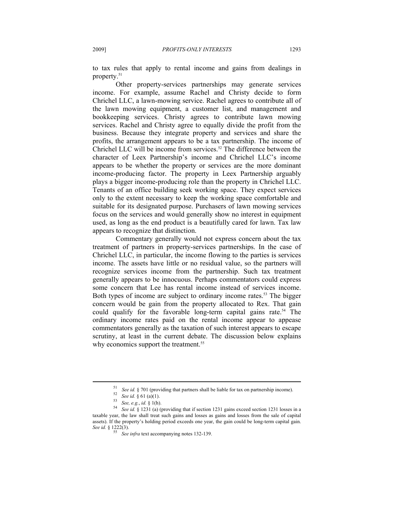to tax rules that apply to rental income and gains from dealings in property.51

Other property-services partnerships may generate services income. For example, assume Rachel and Christy decide to form Chrichel LLC, a lawn-mowing service. Rachel agrees to contribute all of the lawn mowing equipment, a customer list, and management and bookkeeping services. Christy agrees to contribute lawn mowing services. Rachel and Christy agree to equally divide the profit from the business. Because they integrate property and services and share the profits, the arrangement appears to be a tax partnership. The income of Chrichel LLC will be income from services.<sup>52</sup> The difference between the character of Leex Partnership's income and Chrichel LLC's income appears to be whether the property or services are the more dominant income-producing factor. The property in Leex Partnership arguably plays a bigger income-producing role than the property in Chrichel LLC. Tenants of an office building seek working space. They expect services only to the extent necessary to keep the working space comfortable and suitable for its designated purpose. Purchasers of lawn mowing services focus on the services and would generally show no interest in equipment used, as long as the end product is a beautifully cared for lawn. Tax law appears to recognize that distinction.

Commentary generally would not express concern about the tax treatment of partners in property-services partnerships. In the case of Chrichel LLC, in particular, the income flowing to the parties is services income. The assets have little or no residual value, so the partners will recognize services income from the partnership. Such tax treatment generally appears to be innocuous. Perhaps commentators could express some concern that Lee has rental income instead of services income. Both types of income are subject to ordinary income rates.<sup>53</sup> The bigger concern would be gain from the property allocated to Rex. That gain could qualify for the favorable long-term capital gains rate.<sup>54</sup> The ordinary income rates paid on the rental income appear to appease commentators generally as the taxation of such interest appears to escape scrutiny, at least in the current debate. The discussion below explains why economics support the treatment.<sup>55</sup>

<sup>&</sup>lt;sup>51</sup> See id. § 701 (providing that partners shall be liable for tax on partnership income).<br><sup>52</sup> See id. § 61 (a)(1).<br><sup>53</sup> See, e.g., id. § 1(h).<br><sup>54</sup> See id. § 1231 (a) (providing that if section 1231 gains exceed sectio taxable year, the law shall treat such gains and losses as gains and losses from the sale of capital assets). If the property's holding period exceeds one year, the gain could be long-term capital gain. *See id.* § 1222(3). 55 *See infra* text accompanying notes 132-139.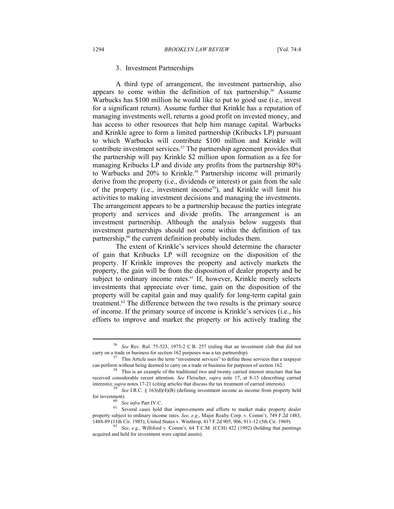# 3. Investment Partnerships

A third type of arrangement, the investment partnership, also appears to come within the definition of tax partnership.<sup>56</sup> Assume Warbucks has \$100 million he would like to put to good use (i.e., invest for a significant return). Assume further that Krinkle has a reputation of managing investments well, returns a good profit on invested money, and has access to other resources that help him manage capital. Warbucks and Krinkle agree to form a limited partnership (Kribucks LP) pursuant to which Warbucks will contribute \$100 million and Krinkle will contribute investment services.<sup>57</sup> The partnership agreement provides that the partnership will pay Krinkle \$2 million upon formation as a fee for managing Kribucks LP and divide any profits from the partnership 80% to Warbucks and 20% to Krinkle.<sup>58</sup> Partnership income will primarily derive from the property (i.e., dividends or interest) or gain from the sale of the property (i.e., investment income<sup>59</sup>), and Krinkle will limit his activities to making investment decisions and managing the investments. The arrangement appears to be a partnership because the parties integrate property and services and divide profits. The arrangement is an investment partnership. Although the analysis below suggests that investment partnerships should not come within the definition of tax partnership, $60$  the current definition probably includes them.

The extent of Krinkle's services should determine the character of gain that Kribucks LP will recognize on the disposition of the property. If Krinkle improves the property and actively markets the property, the gain will be from the disposition of dealer property and be subject to ordinary income rates.<sup>61</sup> If, however, Krinkle merely selects investments that appreciate over time, gain on the disposition of the property will be capital gain and may qualify for long-term capital gain treatment.62 The difference between the two results is the primary source of income. If the primary source of income is Krinkle's services (i.e., his efforts to improve and market the property or his actively trading the

<sup>56</sup> *See* Rev. Rul. 75-523, 1975-2 C.B. 257 (ruling that an investment club that did not carry on a trade or business for section 162 purposes was a tax partnership). 57 This Article uses the term "investment services" to define those services that a taxpayer

can perform without being deemed to carry on a trade or business for purposes of section 162.<br><sup>58</sup> This is an example of the traditional two and twenty carried interest structure that has

received considerable recent attention. *See* Fleischer, *supra* note 17, at 8-15 (describing carried interests); *supra* notes 17-21 (citing articles that discuss the tax treatment of carried interests).<br><sup>59</sup> *See* I.R.C. § 163(d)(4)(B) (defining investment income as income from property held

for investment).<br><sup>60</sup> *See infra* Part IV.C.<br><sup>61</sup> Several cases hold that improvements and efforts to market make property dealer property subject to ordinary income rates. *See, e.g.*, Major Realty Corp. v. Comm'r, 749 F.2d 1483, 1488-89 (11th Cir. 1985); United States v. Winthrop, 417 F.2d 905, 906, 911-12 (5th Cir. 1969).

<sup>1488-89 (11</sup>th Cir. 1985); United States v. Winthrop, 417 F.2d 905, 906, 911-12 (5th Cir. 1969)*.* 62 *See*, *e.g.*, Williford v. Comm'r, 64 T.C.M. (CCH) 422 (1992) (holding that paintings acquired and held for investment were capital assets)*.*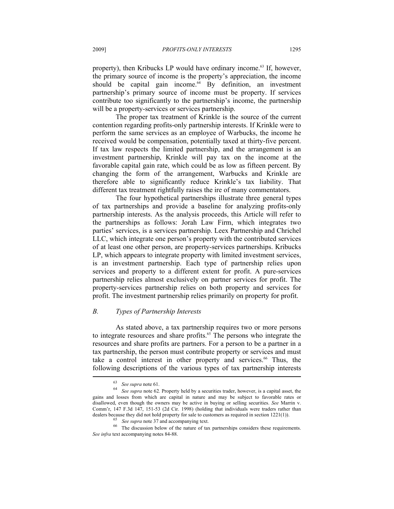property), then Kribucks LP would have ordinary income.<sup>63</sup> If, however, the primary source of income is the property's appreciation, the income should be capital gain income.<sup>64</sup> By definition, an investment partnership's primary source of income must be property. If services contribute too significantly to the partnership's income, the partnership will be a property-services or services partnership.

The proper tax treatment of Krinkle is the source of the current contention regarding profits-only partnership interests. If Krinkle were to perform the same services as an employee of Warbucks, the income he received would be compensation, potentially taxed at thirty-five percent. If tax law respects the limited partnership, and the arrangement is an investment partnership, Krinkle will pay tax on the income at the favorable capital gain rate, which could be as low as fifteen percent. By changing the form of the arrangement, Warbucks and Krinkle are therefore able to significantly reduce Krinkle's tax liability. That different tax treatment rightfully raises the ire of many commentators.

The four hypothetical partnerships illustrate three general types of tax partnerships and provide a baseline for analyzing profits-only partnership interests. As the analysis proceeds, this Article will refer to the partnerships as follows: Jorah Law Firm, which integrates two parties' services, is a services partnership. Leex Partnership and Chrichel LLC, which integrate one person's property with the contributed services of at least one other person, are property-services partnerships. Kribucks LP, which appears to integrate property with limited investment services, is an investment partnership. Each type of partnership relies upon services and property to a different extent for profit. A pure-services partnership relies almost exclusively on partner services for profit. The property-services partnership relies on both property and services for profit. The investment partnership relies primarily on property for profit.

# *B. Types of Partnership Interests*

As stated above, a tax partnership requires two or more persons to integrate resources and share profits.<sup>65</sup> The persons who integrate the resources and share profits are partners. For a person to be a partner in a tax partnership, the person must contribute property or services and must take a control interest in other property and services.<sup>66</sup> Thus, the following descriptions of the various types of tax partnership interests

<sup>63</sup> *See supra* note 61. 64 *See supra* note 62*.* Property held by a securities trader, however, is a capital asset, the gains and losses from which are capital in nature and may be subject to favorable rates or disallowed, even though the owners may be active in buying or selling securities. *See* Marrin v. Comm'r, 147 F.3d 147, 151-53 (2d Cir. 1998) (holding that individuals were traders rather than dealers because they did not hold property for sale to customers as required in section 1221(1)).

 $65$  *See supra* note 37 and accompanying text.<br><sup>66</sup> The discussion below of the nature of tax partnerships considers these requirements. *See infra* text accompanying notes 84-88.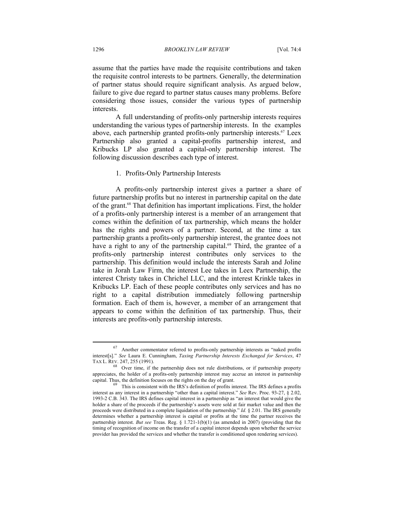assume that the parties have made the requisite contributions and taken the requisite control interests to be partners. Generally, the determination of partner status should require significant analysis. As argued below, failure to give due regard to partner status causes many problems. Before considering those issues, consider the various types of partnership interests.

A full understanding of profits-only partnership interests requires understanding the various types of partnership interests. In the examples above, each partnership granted profits-only partnership interests.<sup>67</sup> Leex Partnership also granted a capital-profits partnership interest, and Kribucks LP also granted a capital-only partnership interest. The following discussion describes each type of interest.

# 1. Profits-Only Partnership Interests

A profits-only partnership interest gives a partner a share of future partnership profits but no interest in partnership capital on the date of the grant.68 That definition has important implications. First, the holder of a profits-only partnership interest is a member of an arrangement that comes within the definition of tax partnership, which means the holder has the rights and powers of a partner. Second, at the time a tax partnership grants a profits-only partnership interest, the grantee does not have a right to any of the partnership capital.<sup>69</sup> Third, the grantee of a profits-only partnership interest contributes only services to the partnership. This definition would include the interests Sarah and Joline take in Jorah Law Firm, the interest Lee takes in Leex Partnership, the interest Christy takes in Chrichel LLC, and the interest Krinkle takes in Kribucks LP. Each of these people contributes only services and has no right to a capital distribution immediately following partnership formation. Each of them is, however, a member of an arrangement that appears to come within the definition of tax partnership. Thus, their interests are profits-only partnership interests.

<sup>&</sup>lt;sup>67</sup> Another commentator referred to profits-only partnership interests as "naked profits interest[s]." *See* Laura E. Cunningham, *Taxing Partnership Interests Exchanged for Services*, 47 TAX L. REV. 247, 255 (1991).<br><sup>68</sup> Over time, if the partnership does not rule distributions, or if partnership property

appreciates, the holder of a profits-only partnership interest may accrue an interest in partnership capital. Thus, the definition focuses on the rights on the day of grant. 69 This is consistent with the IRS's definition of profits interest. The IRS defines a profits

interest as any interest in a partnership "other than a capital interest." *See* Rev. Proc. 93-27, § 2.02, 1993-2 C.B. 343. The IRS defines capital interest in a partnership as "an interest that would give the holder a share of the proceeds if the partnership's assets were sold at fair market value and then the proceeds were distributed in a complete liquidation of the partnership." *Id.* § 2.01. The IRS generally determines whether a partnership interest is capital or profits at the time the partner receives the partnership interest. *But see* Treas. Reg. § 1.721-1(b)(1) (as amended in 2007) (providing that the timing of recognition of income on the transfer of a capital interest depends upon whether the service provider has provided the services and whether the transfer is conditioned upon rendering services).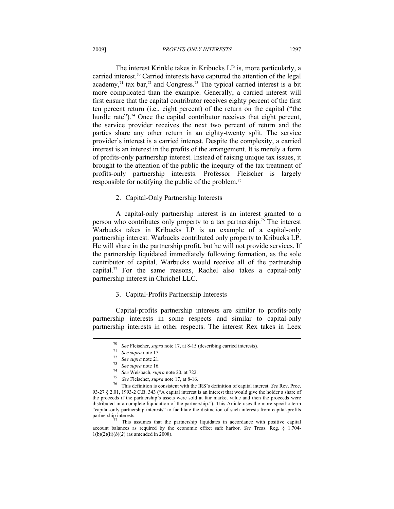The interest Krinkle takes in Kribucks LP is, more particularly, a carried interest.<sup>70</sup> Carried interests have captured the attention of the legal academy, $71$  tax bar, $72$  and Congress.<sup>73</sup> The typical carried interest is a bit more complicated than the example. Generally, a carried interest will first ensure that the capital contributor receives eighty percent of the first ten percent return (i.e., eight percent) of the return on the capital ("the hurdle rate").<sup>74</sup> Once the capital contributor receives that eight percent, the service provider receives the next two percent of return and the parties share any other return in an eighty-twenty split. The service provider's interest is a carried interest. Despite the complexity, a carried interest is an interest in the profits of the arrangement. It is merely a form of profits-only partnership interest. Instead of raising unique tax issues, it brought to the attention of the public the inequity of the tax treatment of profits-only partnership interests. Professor Fleischer is largely responsible for notifying the public of the problem.75

2. Capital-Only Partnership Interests

A capital-only partnership interest is an interest granted to a person who contributes only property to a tax partnership.76 The interest Warbucks takes in Kribucks LP is an example of a capital-only partnership interest. Warbucks contributed only property to Kribucks LP. He will share in the partnership profit, but he will not provide services. If the partnership liquidated immediately following formation, as the sole contributor of capital, Warbucks would receive all of the partnership capital.<sup>77</sup> For the same reasons, Rachel also takes a capital-only partnership interest in Chrichel LLC.

3. Capital-Profits Partnership Interests

Capital-profits partnership interests are similar to profits-only partnership interests in some respects and similar to capital-only partnership interests in other respects. The interest Rex takes in Leex

<sup>&</sup>lt;sup>70</sup> See Fleischer, *supra* note 17, at 8-15 (describing carried interests).<br>
<sup>71</sup> See *supra* note 17.<br>
<sup>72</sup> See *supra* note 21.<br>
<sup>73</sup> See *Supra* note 16.<br>
<sup>74</sup> See Weisbach, *supra* note 20, at 722.<br>
<sup>75</sup> See Fleische 93-27 § 2.01, 1993-2 C.B. 343 ("A capital interest is an interest that would give the holder a share of the proceeds if the partnership's assets were sold at fair market value and then the proceeds were distributed in a complete liquidation of the partnership."). This Article uses the more specific term "capital-only partnership interests" to facilitate the distinction of such interests from capital-profits partnership interests.<br><sup>77</sup> This assumes that the partnership liquidates in accordance with positive capital

account balances as required by the economic effect safe harbor. *See* Treas. Reg. § 1.704-  $1(b)(2)(ii)(b)(2)$  (as amended in 2008).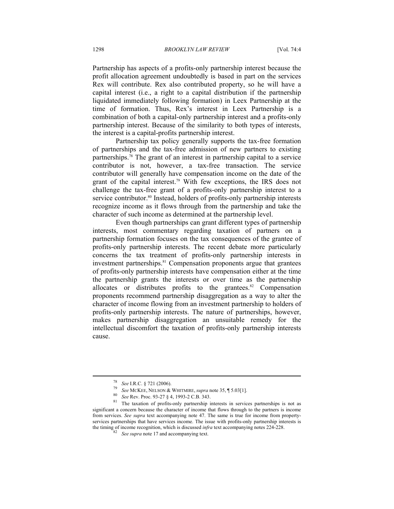Partnership has aspects of a profits-only partnership interest because the profit allocation agreement undoubtedly is based in part on the services Rex will contribute. Rex also contributed property, so he will have a capital interest (i.e., a right to a capital distribution if the partnership liquidated immediately following formation) in Leex Partnership at the time of formation. Thus, Rex's interest in Leex Partnership is a combination of both a capital-only partnership interest and a profits-only partnership interest. Because of the similarity to both types of interests, the interest is a capital-profits partnership interest.

Partnership tax policy generally supports the tax-free formation of partnerships and the tax-free admission of new partners to existing partnerships.78 The grant of an interest in partnership capital to a service contributor is not, however, a tax-free transaction. The service contributor will generally have compensation income on the date of the grant of the capital interest.<sup>79</sup> With few exceptions, the IRS does not challenge the tax-free grant of a profits-only partnership interest to a service contributor.<sup>80</sup> Instead, holders of profits-only partnership interests recognize income as it flows through from the partnership and take the character of such income as determined at the partnership level.

Even though partnerships can grant different types of partnership interests, most commentary regarding taxation of partners on a partnership formation focuses on the tax consequences of the grantee of profits-only partnership interests. The recent debate more particularly concerns the tax treatment of profits-only partnership interests in investment partnerships.<sup>81</sup> Compensation proponents argue that grantees of profits-only partnership interests have compensation either at the time the partnership grants the interests or over time as the partnership allocates or distributes profits to the grantees. $82$  Compensation proponents recommend partnership disaggregation as a way to alter the character of income flowing from an investment partnership to holders of profits-only partnership interests. The nature of partnerships, however, makes partnership disaggregation an unsuitable remedy for the intellectual discomfort the taxation of profits-only partnership interests cause.

<sup>&</sup>lt;sup>78</sup> See I.R.C. § 721 (2006).<br><sup>79</sup> See MCKEE, NELSON & WHITMIRE, *supra* note 35, ¶ 5.03[1].<br><sup>80</sup> See Rev. Proc. 93-27 § 4, 1993-2 C.B. 343.<br><sup>81</sup> The taxation of profits-only partnership interests in services partnerships significant a concern because the character of income that flows through to the partners is income from services. *See supra* text accompanying note 47. The same is true for income from propertyservices partnerships that have services income. The issue with profits-only partnership interests is the timing of income recognition, which is discussed *infra* text accompanying notes 224-228.<br><sup>82</sup> *See supra* note 17 and accompanying text.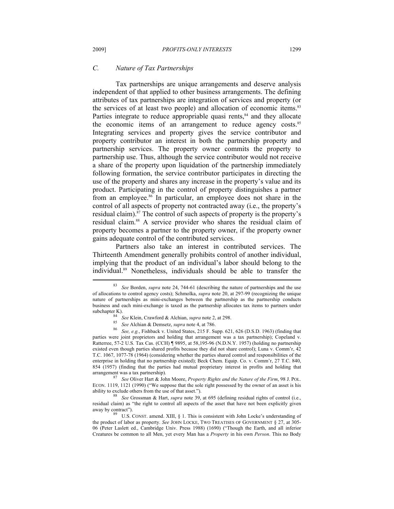# *C. Nature of Tax Partnerships*

Tax partnerships are unique arrangements and deserve analysis independent of that applied to other business arrangements. The defining attributes of tax partnerships are integration of services and property (or the services of at least two people) and allocation of economic items.<sup>83</sup> Parties integrate to reduce appropriable quasi rents, $84$  and they allocate the economic items of an arrangement to reduce agency costs.<sup>85</sup> Integrating services and property gives the service contributor and property contributor an interest in both the partnership property and partnership services. The property owner commits the property to partnership use. Thus, although the service contributor would not receive a share of the property upon liquidation of the partnership immediately following formation, the service contributor participates in directing the use of the property and shares any increase in the property's value and its product. Participating in the control of property distinguishes a partner from an employee.<sup>86</sup> In particular, an employee does not share in the control of all aspects of property not contracted away (i.e., the property's residual claim).<sup>87</sup> The control of such aspects of property is the property's residual claim.88 A service provider who shares the residual claim of property becomes a partner to the property owner, if the property owner gains adequate control of the contributed services.

Partners also take an interest in contributed services. The Thirteenth Amendment generally prohibits control of another individual, implying that the product of an individual's labor should belong to the individual.89 Nonetheless, individuals should be able to transfer the

arrangement was a tax partnership). 87 *See* Oliver Hart & John Moore, *Property Rights and the Nature of the Firm*, 98 J. POL. ECON. 1119, 1121 (1990) ("We suppose that the sole right possessed by the owner of an asset is his ability to exclude others from the use of that asset."). 88 *See* Grossman & Hart, *supra* note 39, at 695 (defining residual rights of control (i.e.,

residual claim) as "the right to control all aspects of the asset that have not been explicitly given away by contract").  $89$  U.S. CONST. amend. XIII, § 1. This is consistent with John Locke's understanding of

the product of labor as property. *See* JOHN LOCKE, TWO TREATISES OF GOVERNMENT § 27, at 305- 06 (Peter Laslett ed., Cambridge Univ. Press 1988) (1690) ("Though the Earth, and all inferior Creatures be common to all Men, yet every Man has a *Property* in his own *Person*. This no Body

<sup>83</sup> *See* Borden, *supra* note 24, 744-61 (describing the nature of partnerships and the use of allocations to control agency costs); Schmolka, *supra* note 20, at 297-99 (recognizing the unique nature of partnerships as mini-exchanges between the partnership as the partnership conducts business and each mini-exchange is taxed as the partnership allocates tax items to partners under

subchapter K).<br>
<sup>84</sup> See Klein, Crawford & Alchian, *supra* note 2, at 298.<br>
<sup>85</sup> See Alchian & Demsetz, *supra* note 4, at 786.<br>
<sup>86</sup> See, e.g., Fishback v. United States, 215 F. Supp. 621, 626 (D.S.D. 1963) (finding that parties were joint proprietors and holding that arrangement was a tax partnership); Copeland v. Ratterree, 57-2 U.S. Tax Cas. (CCH) ¶ 9895, at 58,195-96 (N.D.N.Y. 1957) (holding no partnership existed even though parties shared profits because they did not share control); Luna v. Comm'r, 42 T.C. 1067, 1077-78 (1964) (considering whether the parties shared control and responsibilities of the enterprise in holding that no partnership existed); Beck Chem. Equip. Co. v. Comm'r, 27 T.C. 840, 854 (1957) (finding that the parties had mutual proprietary interest in profits and holding that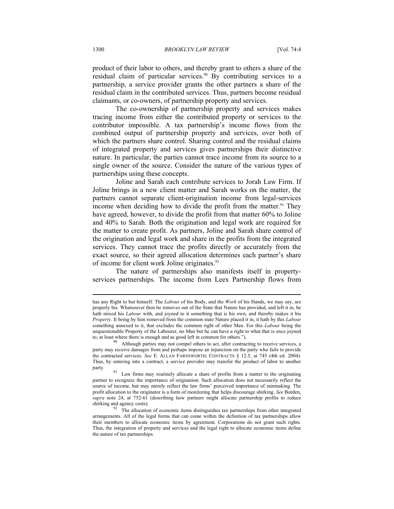product of their labor to others, and thereby grant to others a share of the residual claim of particular services.<sup>90</sup> By contributing services to a partnership, a service provider grants the other partners a share of the residual claim in the contributed services. Thus, partners become residual claimants, or co-owners, of partnership property and services.

The co-ownership of partnership property and services makes tracing income from either the contributed property or services to the contributor impossible. A tax partnership's income flows from the combined output of partnership property and services, over both of which the partners share control. Sharing control and the residual claims of integrated property and services gives partnerships their distinctive nature. In particular, the parties cannot trace income from its source to a single owner of the source. Consider the nature of the various types of partnerships using these concepts.

Joline and Sarah each contribute services to Jorah Law Firm. If Joline brings in a new client matter and Sarah works on the matter, the partners cannot separate client-origination income from legal-services income when deciding how to divide the profit from the matter.<sup>91</sup> They have agreed, however, to divide the profit from that matter 60% to Joline and 40% to Sarah. Both the origination and legal work are required for the matter to create profit. As partners, Joline and Sarah share control of the origination and legal work and share in the profits from the integrated services. They cannot trace the profits directly or accurately from the exact source, so their agreed allocation determines each partner's share of income for client work Joline originates.<sup>92</sup>

The nature of partnerships also manifests itself in propertyservices partnerships. The income from Leex Partnership flows from

has any Right to but himself. The *Labour* of his Body, and the *Work* of his Hands, we may say, are properly his. Whatsoever then he removes out of the State that Nature has provided, and left it in, he hath mixed his *Labour* with, and joyned to it something that is his own, and thereby makes it his *Property*. It being by him removed from the common state Nature placed it in, it hath by this *Labour* something annexed to it, that excludes the common right of other Men. For this *Labour* being the unquestionable Property of the Labourer, no Man but he can have a right to what that is once joyned to, at least where there is enough and as good left in common for others.").<br><sup>90</sup> Although parties may not compel others to act, after contracting to receive services, a

party may receive damages from and perhaps impose an injunction on the party who fails to provide the contracted services. *See* E. ALLAN FARNSWORTH, CONTRACTS § 12.5, at 745 (4th ed. 2004). Thus, by entering into a contract, a service provider may transfer the product of labor to another party. 91 Law firms may routinely allocate a share of profits from a matter to the originating

partner to recognize the importance of origination. Such allocation does not necessarily reflect the source of income, but may merely reflect the law firms' perceived importance of rainmaking. The profit allocation to the originator is a form of monitoring that helps discourage shirking. *See* Borden, *supra* note 24, at 752-61 (describing how partners might allocate partnership profits to reduce

shirking and agency costs). The allocation of economic items distinguishes tax partnerships from other integrated arrangements. All of the legal forms that can come within the definition of tax partnerships allow their members to allocate economic items by agreement. Corporations do not grant such rights. Thus, the integration of property and services and the legal right to allocate economic items define the nature of tax partnerships.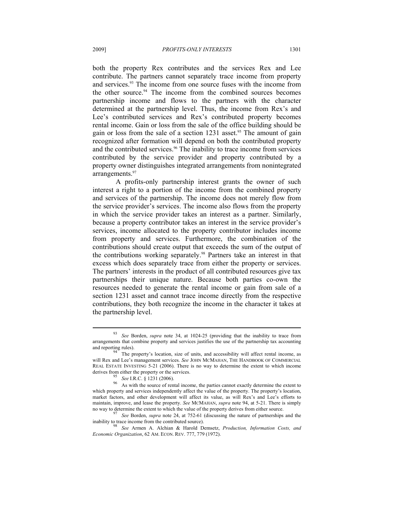both the property Rex contributes and the services Rex and Lee contribute. The partners cannot separately trace income from property and services.<sup>93</sup> The income from one source fuses with the income from the other source.<sup>94</sup> The income from the combined sources becomes partnership income and flows to the partners with the character determined at the partnership level. Thus, the income from Rex's and Lee's contributed services and Rex's contributed property becomes rental income. Gain or loss from the sale of the office building should be gain or loss from the sale of a section  $1231$  asset.<sup>95</sup> The amount of gain recognized after formation will depend on both the contributed property and the contributed services.<sup>96</sup> The inability to trace income from services contributed by the service provider and property contributed by a property owner distinguishes integrated arrangements from nonintegrated arrangements.<sup>97</sup>

A profits-only partnership interest grants the owner of such interest a right to a portion of the income from the combined property and services of the partnership. The income does not merely flow from the service provider's services. The income also flows from the property in which the service provider takes an interest as a partner. Similarly, because a property contributor takes an interest in the service provider's services, income allocated to the property contributor includes income from property and services. Furthermore, the combination of the contributions should create output that exceeds the sum of the output of the contributions working separately.98 Partners take an interest in that excess which does separately trace from either the property or services. The partners' interests in the product of all contributed resources give tax partnerships their unique nature. Because both parties co-own the resources needed to generate the rental income or gain from sale of a section 1231 asset and cannot trace income directly from the respective contributions, they both recognize the income in the character it takes at the partnership level.

<sup>93</sup> *See* Borden, *supra* note 34, at 1024-25 (providing that the inability to trace from arrangements that combine property and services justifies the use of the partnership tax accounting

and reporting rules).  $\frac{94}{7}$  The property's location, size of units, and accessibility will affect rental income, as will Rex and Lee's management services. *See* JOHN MCMAHAN, THE HANDBOOK OF COMMERCIAL REAL ESTATE INVESTING 5-21 (2006). There is no way to determine the extent to which income derives from either the property or the services.

<sup>&</sup>lt;sup>95</sup> *See* I.R.C. § 1231 (2006). <sup>96</sup> As with the source of rental income, the parties cannot exactly determine the extent to which property and services independently affect the value of the property. The property's location, market factors, and other development will affect its value, as will Rex's and Lee's efforts to maintain, improve, and lease the property. *See* MCMAHAN, *supra* note 94, at 5-21. There is simply

no way to determine the extent to which the value of the property derives from either source.<br><sup>97</sup> *See* Borden, *supra* note 24, at 752-61 (discussing the nature of partnerships and the inability to trace income from the

See Armen A. Alchian & Harold Demsetz, Production, Information Costs, and *Economic Organization*, 62 AM. ECON. REV. 777, 779 (1972).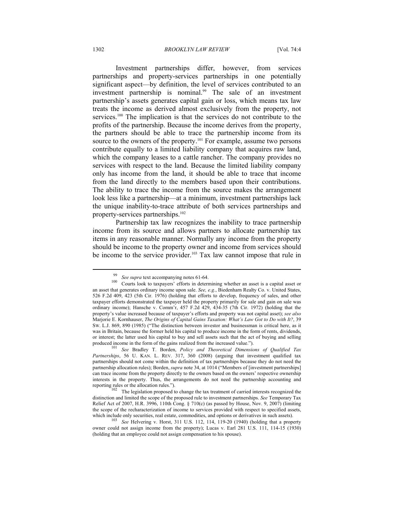Investment partnerships differ, however, from services partnerships and property-services partnerships in one potentially significant aspect—by definition, the level of services contributed to an investment partnership is nominal.<sup>99</sup> The sale of an investment partnership's assets generates capital gain or loss, which means tax law treats the income as derived almost exclusively from the property, not services.<sup>100</sup> The implication is that the services do not contribute to the profits of the partnership. Because the income derives from the property, the partners should be able to trace the partnership income from its source to the owners of the property.<sup>101</sup> For example, assume two persons contribute equally to a limited liability company that acquires raw land, which the company leases to a cattle rancher. The company provides no services with respect to the land. Because the limited liability company only has income from the land, it should be able to trace that income from the land directly to the members based upon their contributions. The ability to trace the income from the source makes the arrangement look less like a partnership—at a minimum, investment partnerships lack the unique inability-to-trace attribute of both services partnerships and property-services partnerships.<sup>102</sup>

Partnership tax law recognizes the inability to trace partnership income from its source and allows partners to allocate partnership tax items in any reasonable manner. Normally any income from the property should be income to the property owner and income from services should be income to the service provider.<sup>103</sup> Tax law cannot impose that rule in

<sup>&</sup>lt;sup>99</sup> *See supra* text accompanying notes 61-64.<br><sup>100</sup> Courts look to taxpayers' efforts in determining whether an asset is a capital asset or an asset that generates ordinary income upon sale. *See, e.g.*, Biedenharn Realty Co. v. United States, 526 F.2d 409, 423 (5th Cir. 1976) (holding that efforts to develop, frequency of sales, and other taxpayer efforts demonstrated the taxpayer held the property primarily for sale and gain on sale was ordinary income); Hansche v. Comm'r, 457 F.2d 429, 434-35 (7th Cir. 1972) (holding that the property's value increased because of taxpayer's efforts and property was not capital asset); *see also* Marjorie E. Kornhauser, *The Origins of Capital Gains Taxation: What's Law Got to Do with It?*, 39 SW. L.J. 869, 890 (1985) ("The distinction between investor and businessman is critical here, as it was in Britain, because the former held his capital to produce income in the form of rents, dividends, or interest; the latter used his capital to buy and sell assets such that the act of buying and selling produced income in the form of the gains realized from the increased value."). 101 *See* Bradley T. Borden, *Policy and Theoretical Dimensions of Qualified Tax* 

*Partnerships*, 56 U. KAN. L. REV. 317, 360 (2008) (arguing that investment qualified tax partnerships should not come within the definition of tax partnerships because they do not need the partnership allocation rules); Borden, *supra* note 34, at 1014 ("Members of [investment partnerships] can trace income from the property directly to the owners based on the owners' respective ownership interests in the property. Thus, the arrangements do not need the partnership accounting and reporting rules or the allocation rules.").

 $102$  The legislation proposed to change the tax treatment of carried interests recognized the distinction and limited the scope of the proposed rule to investment partnerships. *See* Temporary Tax Relief Act of 2007, H.R. 3996, 110th Cong. § 710(c) (as passed by House, Nov. 9, 2007) (limiting the scope of the recharacterization of income to services provided with respect to specified assets, which include only securities, real estate, commodities, and options or derivatives in such assets). 103 *See* Helvering v. Horst, 311 U.S. 112, 114, 119-20 (1940) (holding that a property

owner could not assign income from the property); Lucas v. Earl 281 U.S. 111, 114-15 (1930) (holding that an employee could not assign compensation to his spouse).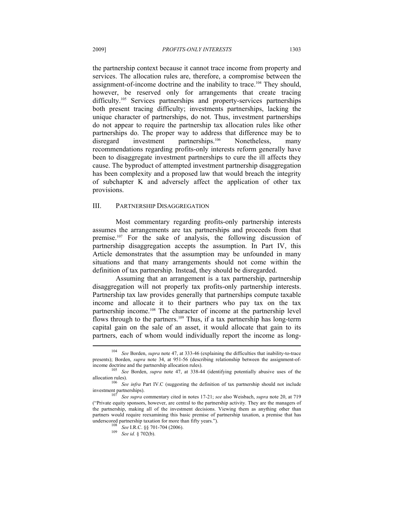the partnership context because it cannot trace income from property and services. The allocation rules are, therefore, a compromise between the assignment-of-income doctrine and the inability to trace.104 They should, however, be reserved only for arrangements that create tracing difficulty.<sup>105</sup> Services partnerships and property-services partnerships both present tracing difficulty; investments partnerships, lacking the unique character of partnerships, do not. Thus, investment partnerships do not appear to require the partnership tax allocation rules like other partnerships do. The proper way to address that difference may be to disregard investment partnerships.<sup>106</sup> Nonetheless, many recommendations regarding profits-only interests reform generally have been to disaggregate investment partnerships to cure the ill affects they cause. The byproduct of attempted investment partnership disaggregation has been complexity and a proposed law that would breach the integrity of subchapter K and adversely affect the application of other tax provisions.

#### III. PARTNERSHIP DISAGGREGATION

Most commentary regarding profits-only partnership interests assumes the arrangements are tax partnerships and proceeds from that premise.107 For the sake of analysis, the following discussion of partnership disaggregation accepts the assumption. In Part IV, this Article demonstrates that the assumption may be unfounded in many situations and that many arrangements should not come within the definition of tax partnership. Instead, they should be disregarded.

Assuming that an arrangement is a tax partnership, partnership disaggregation will not properly tax profits-only partnership interests. Partnership tax law provides generally that partnerships compute taxable income and allocate it to their partners who pay tax on the tax partnership income.108 The character of income at the partnership level flows through to the partners.<sup>109</sup> Thus, if a tax partnership has long-term capital gain on the sale of an asset, it would allocate that gain to its partners, each of whom would individually report the income as long-

<sup>104</sup> *See* Borden, *supra* note 47, at 333-46 (explaining the difficulties that inability-to-trace presents); Borden, *supra* note 34, at 951-56 (describing relationship between the assignment-ofincome doctrine and the partnership allocation rules). 105 *See* Borden, *supra* note 47, at 338-44 (identifying potentially abusive uses of the

allocation rules).<br><sup>106</sup> *See infra* Part IV.C (suggesting the definition of tax partnership should not include<br>investment partnerships).<br><sup>107</sup> *See sunra* commentary cited in notes 17-21; see also Waishash, sunra pata 20,

See supra commentary cited in notes 17-21; *see* also Weisbach, *supra* note 20, at 719 ("Private equity sponsors, however, are central to the partnership activity. They are the managers of the partnership, making all of the investment decisions. Viewing them as anything other than partners would require reexamining this basic premise of partnership taxation, a premise that has underscored partnership taxation for more than fifty years.").

<sup>108</sup> *See* I.R.C. §§ 701-704 (2006).<br><sup>109</sup> *See id.* § 702(b).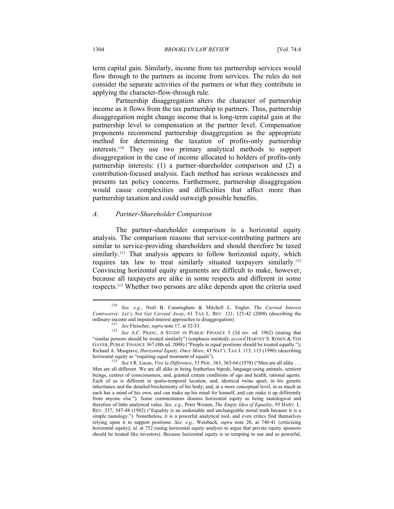term capital gain. Similarly, income from tax partnership services would flow through to the partners as income from services. The rules do not consider the separate activities of the partners or what they contribute in applying the character-flow-through rule.

Partnership disaggregation alters the character of partnership income as it flows from the tax partnership to partners. Thus, partnership disaggregation might change income that is long-term capital gain at the partnership level to compensation at the partner level. Compensation proponents recommend partnership disaggregation as the appropriate method for determining the taxation of profits-only partnership interests.110 They use two primary analytical methods to support disaggregation in the case of income allocated to holders of profits-only partnership interests: (1) a partner-shareholder comparison and (2) a contribution-focused analysis. Each method has serious weaknesses and presents tax policy concerns. Furthermore, partnership disaggregation would cause complexities and difficulties that affect more than partnership taxation and could outweigh possible benefits.

## *A. Partner-Shareholder Comparison*

The partner-shareholder comparison is a horizontal equity analysis. The comparison reasons that service-contributing partners are similar to service-providing shareholders and should therefore be taxed similarly.<sup>111</sup> That analysis appears to follow horizontal equity, which requires tax law to treat similarly situated taxpayers similarly.<sup>112</sup> Convincing horizontal equity arguments are difficult to make, however, because all taxpayers are alike in some respects and different in some respects.113 Whether two persons are alike depends upon the criteria used

<sup>110</sup> *See, e.g.*, Noël B. Cunningham & Mitchell L. Engler, *The Carried Interest Controversy: Let's Not Get Carried Away*, 61 TAX L. REV. 121, 125-42 (2008) (describing the ordinary-income and imputed-interest approaches to disaggregation).

<sup>&</sup>lt;sup>111</sup> *See* Fleischer, *supra* note 17, at 32-33. <sup>112</sup> *See* A.C. PIGOU, A STUDY IN PUBLIC FINANCE 5 (3d rev. ed. 1962) (stating that "similar persons should be treated similarly") (emphasis omitted); *accord* HARVEY S. ROSEN & TED GAYER, PUBLIC FINANCE 367 (8th ed. 2008) ("People in equal positions should be treated equally."); Richard A. Musgrave, *Horizontal Equity, Once More*, 43 NAT'L TAX J. 113, 113 (1990) (describing horizontal equity as "requiring equal treatment of equals").<br><sup>113</sup> *See* J.R. Lucas, *Vive la Difference*, 53 PHIL. 363, 363-64 (1978) ("Men are all alike . . .

Men are all different. We are all alike in being featherless bipeds, language-using animals, sentient beings, centres of consciousness, and, granted certain conditions of age and health, rational agents. Each of us is different in spatio-temporal location, and, identical twins apart, in his genetic inheritance and the detailed biochemistry of his body; and, at a more conceptual level, in as much as each has a mind of his own, and can make up his mind for himself, and can make it up differently from anyone else."). Some commentators dismiss horizontal equity as being tautological and therefore of little analytical value. *See, e.g.*, Peter Westen, *The Empty Idea of Equality*, 95 HARV. L. REV. 537, 547-48 (1982) ("Equality is an undeniable and unchangeable moral truth because it is a simple tautology."). Nonetheless, it is a powerful analytical tool, and even critics find themselves relying upon it to support positions. *See, e.g.*, Weisbach, *supra* note 20, at 740-41 (criticizing horizontal equity); *id.* at 752 (using horizontal equity analysis to argue that private equity sponsors should be treated like investors). Because horizontal equity is so tempting to use and so powerful,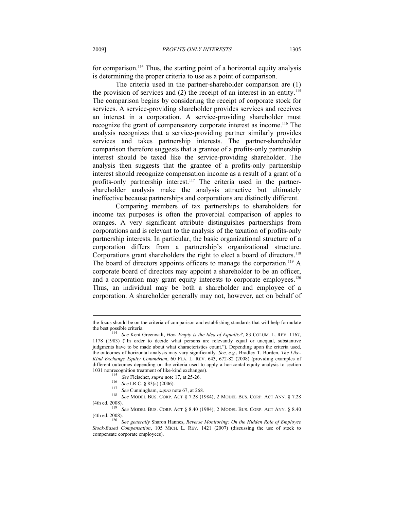for comparison.<sup>114</sup> Thus, the starting point of a horizontal equity analysis is determining the proper criteria to use as a point of comparison.

The criteria used in the partner-shareholder comparison are (1) the provision of services and  $(2)$  the receipt of an interest in an entity.<sup>115</sup> The comparison begins by considering the receipt of corporate stock for services. A service-providing shareholder provides services and receives an interest in a corporation. A service-providing shareholder must recognize the grant of compensatory corporate interest as income.116 The analysis recognizes that a service-providing partner similarly provides services and takes partnership interests. The partner-shareholder comparison therefore suggests that a grantee of a profits-only partnership interest should be taxed like the service-providing shareholder. The analysis then suggests that the grantee of a profits-only partnership interest should recognize compensation income as a result of a grant of a profits-only partnership interest.<sup>117</sup> The criteria used in the partnershareholder analysis make the analysis attractive but ultimately ineffective because partnerships and corporations are distinctly different.

Comparing members of tax partnerships to shareholders for income tax purposes is often the proverbial comparison of apples to oranges. A very significant attribute distinguishes partnerships from corporations and is relevant to the analysis of the taxation of profits-only partnership interests. In particular, the basic organizational structure of a corporation differs from a partnership's organizational structure. Corporations grant shareholders the right to elect a board of directors.<sup>118</sup> The board of directors appoints officers to manage the corporation.<sup>119</sup> A corporate board of directors may appoint a shareholder to be an officer, and a corporation may grant equity interests to corporate employees.<sup>120</sup> Thus, an individual may be both a shareholder and employee of a corporation. A shareholder generally may not, however, act on behalf of

- 
- 

<sup>115</sup> See Fleischer, *supra* note 17, at 25-26.<br>
<sup>116</sup> See I.R.C. § 83(a) (2006).<br>
<sup>117</sup> See Cunningham, *supra* note 67, at 268.<br>
<sup>118</sup> See MODEL BUS. CORP. ACT § 7.28 (1984); 2 MODEL BUS. CORP. ACT ANN. § 7.28

(4th ed. 2008). 119 *See* MODEL BUS. CORP. ACT § 8.40 (1984); 2 MODEL BUS. CORP. ACT ANN. § 8.40 (4th ed. 2008). 120 *See generally* Sharon Hannes, *Reverse Monitoring: On the Hidden Role of Employee* 

the focus should be on the criteria of comparison and establishing standards that will help formulate the best possible criteria. 114 *See* Kent Greenwalt, *How Empty is the Idea of Equality?*, 83 COLUM. L. REV. 1167,

<sup>1178 (1983) (&</sup>quot;In order to decide what persons are relevantly equal or unequal, substantive judgments have to be made about what characteristics count.")*.* Depending upon the criteria used, the outcomes of horizontal analysis may vary significantly. *See, e.g.*, Bradley T. Borden, *The Like-Kind Exchange Equity Conundrum*, 60 FLA. L. REV. 643, 672-82 (2008) (providing examples of different outcomes depending on the criteria used to apply a horizontal equity analysis to section 1031 nonrecognition treatment of like-kind exchanges).

*Stock-Based Compensation*, 105 MICH. L. REV. 1421 (2007) (discussing the use of stock to compensate corporate employees).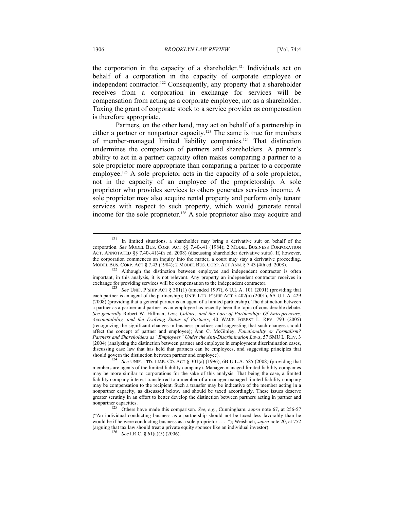the corporation in the capacity of a shareholder.<sup>121</sup> Individuals act on behalf of a corporation in the capacity of corporate employee or independent contractor.<sup>122</sup> Consequently, any property that a shareholder receives from a corporation in exchange for services will be compensation from acting as a corporate employee, not as a shareholder. Taxing the grant of corporate stock to a service provider as compensation is therefore appropriate.

Partners, on the other hand, may act on behalf of a partnership in either a partner or nonpartner capacity.<sup>123</sup> The same is true for members of member-managed limited liability companies.124 That distinction undermines the comparison of partners and shareholders. A partner's ability to act in a partner capacity often makes comparing a partner to a sole proprietor more appropriate than comparing a partner to a corporate employee.<sup>125</sup> A sole proprietor acts in the capacity of a sole proprietor, not in the capacity of an employee of the proprietorship. A sole proprietor who provides services to others generates services income. A sole proprietor may also acquire rental property and perform only tenant services with respect to such property, which would generate rental income for the sole proprietor.<sup>126</sup> A sole proprietor also may acquire and

<sup>121</sup> In limited situations, a shareholder may bring a derivative suit on behalf of the corporation. *See* MODEL BUS. CORP. ACT §§ 7.40-.41 (1984); 2 MODEL BUSINESS CORPORATION ACT. ANNOTATED §§ 7.40-.41(4th ed. 2008) (discussing shareholder derivative suits). If, however, the corporation commences an inquiry into the matter, a court may stay a derivative proceeding.

MODEL BUS. CORP. ACT § 7.43 (1984); 2 MODEL BUS. CORP. ACT ANN. § 7.43 (4th ed. 2008).<br><sup>122</sup> Although the distinction between employee and independent contractor is often important, in this analysis, it is not relevant. Any property an independent contractor receives in exchange for providing services will be compensation to the independent contractor. 123 *See* UNIF. P'SHIP ACT § 301(1) (amended 1997), 6 U.L.A. 101 (2001) (providing that

each partner is an agent of the partnership); UNIF. LTD. P'SHIP ACT § 402(a) (2001), 6A U.L.A. 429 (2008) (providing that a general partner is an agent of a limited partnership). The distinction between a partner as a partner and partner as an employee has recently been the topic of considerable debate. *See generally* Robert W. Hillman, *Law, Culture, and the Lore of Partnership: Of Entrepreneurs, Accountability, and the Evolving Status of Partners*, 40 WAKE FOREST L. REV. 793 (2005) (recognizing the significant changes in business practices and suggesting that such changes should affect the concept of partner and employee); Ann C. McGinley, *Functionality or Formalism? Partners and Shareholders as "Employees" Under the Anti-Discrimination Laws*, 57 SMU L. REV. 3 (2004) (analyzing the distinction between partner and employee in employment discrimination cases, discussing case law that has held that partners can be employees, and suggesting principles that

should govern the distinction between partner and employee).<br><sup>124</sup> *See* UNIF. LTD. LIAB. CO. ACT § 301(a) (1996), 6B U.L.A. 585 (2008) (providing that members are agents of the limited liability company). Manager-managed limited liability companies may be more similar to corporations for the sake of this analysis. That being the case, a limited liability company interest transferred to a member of a manager-managed limited liability company may be compensation to the recipient. Such a transfer may be indicative of the member acting in a nonpartner capacity, as discussed below, and should be taxed accordingly. These issues deserve greater scrutiny in an effort to better develop the distinction between partners acting in partner and

nonpartner capacities.<br><sup>125</sup> Others have made this comparison. *See, e.g.*, Cunningham, *supra* note 67, at 256-57 ("An individual conducting business as a partnership should not be taxed less favorably than he would be if he were conducting business as a sole proprietor . . . ."); Weisbach, *supra* note 20, at 752 (arguing that tax law should treat a private equity sponsor like an individual investor). 126 *See* I.R.C. § 61(a)(5) (2006).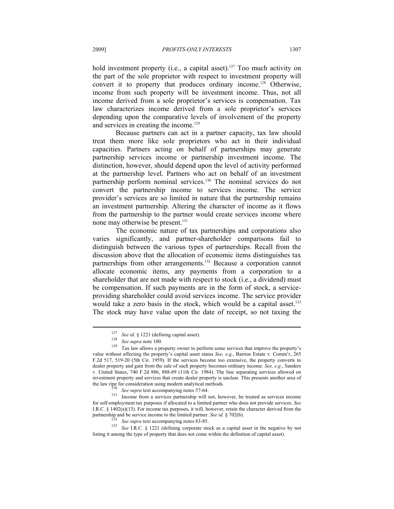hold investment property (i.e., a capital asset).<sup>127</sup> Too much activity on the part of the sole proprietor with respect to investment property will convert it to property that produces ordinary income.128 Otherwise, income from such property will be investment income. Thus, not all income derived from a sole proprietor's services is compensation. Tax law characterizes income derived from a sole proprietor's services depending upon the comparative levels of involvement of the property and services in creating the income.<sup>129</sup>

Because partners can act in a partner capacity, tax law should treat them more like sole proprietors who act in their individual capacities. Partners acting on behalf of partnerships may generate partnership services income or partnership investment income. The distinction, however, should depend upon the level of activity performed at the partnership level. Partners who act on behalf of an investment partnership perform nominal services.<sup>130</sup> The nominal services do not convert the partnership income to services income. The service provider's services are so limited in nature that the partnership remains an investment partnership. Altering the character of income as it flows from the partnership to the partner would create services income where none may otherwise be present.<sup>131</sup>

The economic nature of tax partnerships and corporations also varies significantly, and partner-shareholder comparisons fail to distinguish between the various types of partnerships. Recall from the discussion above that the allocation of economic items distinguishes tax partnerships from other arrangements.<sup>132</sup> Because a corporation cannot allocate economic items, any payments from a corporation to a shareholder that are not made with respect to stock (i.e., a dividend) must be compensation. If such payments are in the form of stock, a serviceproviding shareholder could avoid services income. The service provider would take a zero basis in the stock, which would be a capital asset.<sup>133</sup> The stock may have value upon the date of receipt, so not taxing the

<sup>127</sup> *See id.* § 1221 (defining capital asset). 128 *See supra* note 100. 129 Tax law allows a property owner to perform some services that improve the property's value without affecting the property's capital asset status *See, e.g.*, Barrios Estate v. Comm'r, 265 F.2d 517, 519-20 (5th Cir. 1959). If the services become too extensive, the property converts to dealer property and gain from the sale of such property becomes ordinary income. *See, e.g.*, Sanders v. United States, 740 F.2d 886, 888-89 (11th Cir. 1984). The line separating services allowed on investment property and services that create dealer property is unclear. This presents another area of the law ripe for consideration using modern analytical methods.

<sup>&</sup>lt;sup>130</sup> *See supra* text accompanying notes 57-64.<br><sup>131</sup> Income from a services partnership will not, however, be treated as services income for self-employment tax purposes if allocated to a limited partner who does not provide services. *See* I.R.C. § 1402(a)(13). For income tax purposes, it will, however, retain the character derived from the partnership and be service income to the limited partner. See id. § 702(b).<br>
<sup>132</sup> See supra text accompanying notes 83-85.<br>
<sup>133</sup> See I.R.C. § 1221 (defining corporate stock as a capital asset in the negative by not

listing it among the type of property that does not come within the definition of capital asset).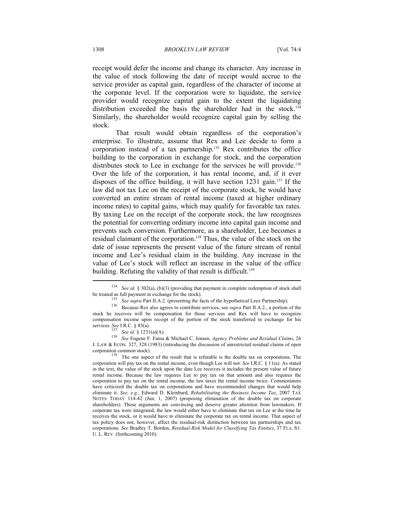receipt would defer the income and change its character. Any increase in the value of stock following the date of receipt would accrue to the service provider as capital gain, regardless of the character of income at the corporate level. If the corporation were to liquidate, the service provider would recognize capital gain to the extent the liquidating distribution exceeded the basis the shareholder had in the stock.<sup>134</sup> Similarly, the shareholder would recognize capital gain by selling the stock.

That result would obtain regardless of the corporation's enterprise. To illustrate, assume that Rex and Lee decide to form a corporation instead of a tax partnership.135 Rex contributes the office building to the corporation in exchange for stock, and the corporation distributes stock to Lee in exchange for the services he will provide.<sup>136</sup> Over the life of the corporation, it has rental income, and, if it ever disposes of the office building, it will have section  $1231 \text{ gain.}^{137}$  If the law did not tax Lee on the receipt of the corporate stock, he would have converted an entire stream of rental income (taxed at higher ordinary income rates) to capital gains, which may qualify for favorable tax rates. By taxing Lee on the receipt of the corporate stock, the law recognizes the potential for converting ordinary income into capital gain income and prevents such conversion. Furthermore, as a shareholder, Lee becomes a residual claimant of the corporation.138 Thus, the value of the stock on the date of issue represents the present value of the future stream of rental income and Lee's residual claim in the building. Any increase in the value of Lee's stock will reflect an increase in the value of the office building. Refuting the validity of that result is difficult.<sup>139</sup>  $\overline{a}$ 

<sup>134</sup> *See id.* § 302(a), (b)(3) (providing that payment in complete redemption of stock shall

be treated as full payment in exchange for the stock).<br>
<sup>135</sup> See supra Part II.A.2. (presenting the facts of the hypothetical Leex Partnership).<br>
<sup>136</sup> Because Rex also agrees to contribute services, see *supra* Part II. stock he receives will be compensation for those services and Rex will have to recognize compensation income upon receipt of the portion of the stock transferred in exchange for his

services. *See* I.R.C. § 83(a). 137 *See id.* § 1231(a)(A). 138 *See* Eugene F. Fama & Michael C. Jensen, *Agency Problems and Residual Claims*, 26 J. LAW & ECON. 327, 328 (1983) (introducing the discussion of unrestricted residual claims of open corporation common stock). <sup>139</sup> The one aspect of the result that is refutable is the double tax on corporations. The

corporation will pay tax on the rental income, even though Lee will not. *See* I.R.C. § 11(a). As stated in the text, the value of the stock upon the date Lee receives it includes the present value of future rental income. Because the law requires Lee to pay tax on that amount and also requires the corporation to pay tax on the rental income, the law taxes the rental income twice. Commentators have criticized the double tax on corporations and have recommended changes that would help eliminate it. *See, e.g.*, Edward D. Kleinbard, *Rehabilitating the Business Income Tax*, 2007 TAX NOTES TODAY 114-42 (Jun. 1, 2007) (proposing elimination of the double tax on corporate shareholders). Those arguments are convincing and deserve greater attention from lawmakers. If corporate tax were integrated, the law would either have to eliminate that tax on Lee at the time he receives the stock, or it would have to eliminate the corporate tax on rental income. That aspect of tax policy does not, however, affect the residual-risk distinction between tax partnerships and tax corporations. *See* Bradley T. Borden, *Residual-Risk Model for Classifying Tax Entities*, 37 FLA. ST. U. L. REV. (forthcoming 2010).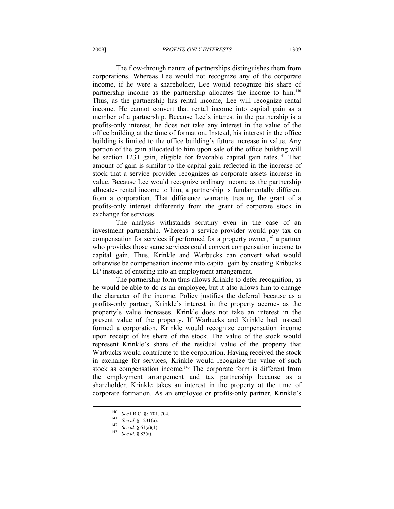The flow-through nature of partnerships distinguishes them from corporations. Whereas Lee would not recognize any of the corporate income, if he were a shareholder, Lee would recognize his share of partnership income as the partnership allocates the income to him.<sup>140</sup> Thus, as the partnership has rental income, Lee will recognize rental income. He cannot convert that rental income into capital gain as a member of a partnership. Because Lee's interest in the partnership is a profits-only interest, he does not take any interest in the value of the office building at the time of formation. Instead, his interest in the office building is limited to the office building's future increase in value. Any portion of the gain allocated to him upon sale of the office building will be section 1231 gain, eligible for favorable capital gain rates.<sup>141</sup> That amount of gain is similar to the capital gain reflected in the increase of stock that a service provider recognizes as corporate assets increase in value. Because Lee would recognize ordinary income as the partnership allocates rental income to him, a partnership is fundamentally different from a corporation. That difference warrants treating the grant of a profits-only interest differently from the grant of corporate stock in exchange for services.

The analysis withstands scrutiny even in the case of an investment partnership. Whereas a service provider would pay tax on compensation for services if performed for a property owner,  $142$  a partner who provides those same services could convert compensation income to capital gain. Thus, Krinkle and Warbucks can convert what would otherwise be compensation income into capital gain by creating Kribucks LP instead of entering into an employment arrangement.

The partnership form thus allows Krinkle to defer recognition, as he would be able to do as an employee, but it also allows him to change the character of the income. Policy justifies the deferral because as a profits-only partner, Krinkle's interest in the property accrues as the property's value increases. Krinkle does not take an interest in the present value of the property. If Warbucks and Krinkle had instead formed a corporation, Krinkle would recognize compensation income upon receipt of his share of the stock. The value of the stock would represent Krinkle's share of the residual value of the property that Warbucks would contribute to the corporation. Having received the stock in exchange for services, Krinkle would recognize the value of such stock as compensation income.<sup>143</sup> The corporate form is different from the employment arrangement and tax partnership because as a shareholder, Krinkle takes an interest in the property at the time of corporate formation. As an employee or profits-only partner, Krinkle's

<sup>140</sup> *See* I.R.C. §§ 701, 704. 141 *See id*. § 1231(a). 142 *See id*. § 61(a)(1). 143 *See id.* § 83(a).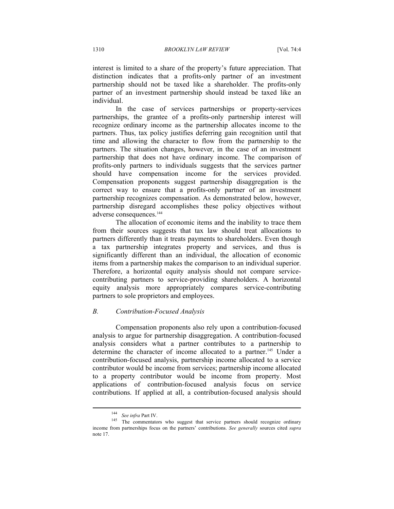interest is limited to a share of the property's future appreciation. That distinction indicates that a profits-only partner of an investment partnership should not be taxed like a shareholder. The profits-only partner of an investment partnership should instead be taxed like an individual.

In the case of services partnerships or property-services partnerships, the grantee of a profits-only partnership interest will recognize ordinary income as the partnership allocates income to the partners. Thus, tax policy justifies deferring gain recognition until that time and allowing the character to flow from the partnership to the partners. The situation changes, however, in the case of an investment partnership that does not have ordinary income. The comparison of profits-only partners to individuals suggests that the services partner should have compensation income for the services provided. Compensation proponents suggest partnership disaggregation is the correct way to ensure that a profits-only partner of an investment partnership recognizes compensation. As demonstrated below, however, partnership disregard accomplishes these policy objectives without adverse consequences.<sup>144</sup>

The allocation of economic items and the inability to trace them from their sources suggests that tax law should treat allocations to partners differently than it treats payments to shareholders. Even though a tax partnership integrates property and services, and thus is significantly different than an individual, the allocation of economic items from a partnership makes the comparison to an individual superior. Therefore, a horizontal equity analysis should not compare servicecontributing partners to service-providing shareholders. A horizontal equity analysis more appropriately compares service-contributing partners to sole proprietors and employees.

# *B. Contribution-Focused Analysis*

Compensation proponents also rely upon a contribution-focused analysis to argue for partnership disaggregation. A contribution-focused analysis considers what a partner contributes to a partnership to determine the character of income allocated to a partner.<sup>145</sup> Under a contribution-focused analysis, partnership income allocated to a service contributor would be income from services; partnership income allocated to a property contributor would be income from property. Most applications of contribution-focused analysis focus on service contributions. If applied at all, a contribution-focused analysis should

<sup>&</sup>lt;sup>144</sup> *See infra* Part IV.<br><sup>145</sup> The commentators who suggest that service partners should recognize ordinary income from partnerships focus on the partners' contributions. *See generally* sources cited *supra* note 17.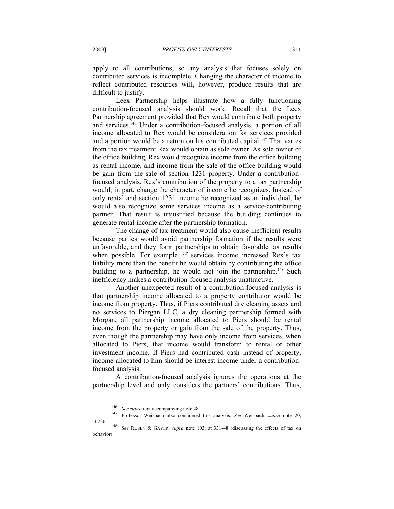apply to all contributions, so any analysis that focuses solely on contributed services is incomplete. Changing the character of income to reflect contributed resources will, however, produce results that are difficult to justify.

Leex Partnership helps illustrate how a fully functioning contribution-focused analysis should work. Recall that the Leex Partnership agreement provided that Rex would contribute both property and services.146 Under a contribution-focused analysis, a portion of all income allocated to Rex would be consideration for services provided and a portion would be a return on his contributed capital.<sup>147</sup> That varies from the tax treatment Rex would obtain as sole owner. As sole owner of the office building, Rex would recognize income from the office building as rental income, and income from the sale of the office building would be gain from the sale of section 1231 property. Under a contributionfocused analysis, Rex's contribution of the property to a tax partnership would, in part, change the character of income he recognizes. Instead of only rental and section 1231 income he recognized as an individual, he would also recognize some services income as a service-contributing partner. That result is unjustified because the building continues to generate rental income after the partnership formation.

The change of tax treatment would also cause inefficient results because parties would avoid partnership formation if the results were unfavorable, and they form partnerships to obtain favorable tax results when possible. For example, if services income increased Rex's tax liability more than the benefit he would obtain by contributing the office building to a partnership, he would not join the partnership.<sup>148</sup> Such inefficiency makes a contribution-focused analysis unattractive.

Another unexpected result of a contribution-focused analysis is that partnership income allocated to a property contributor would be income from property. Thus, if Piers contributed dry cleaning assets and no services to Piergan LLC, a dry cleaning partnership formed with Morgan, all partnership income allocated to Piers should be rental income from the property or gain from the sale of the property. Thus, even though the partnership may have only income from services, when allocated to Piers, that income would transform to rental or other investment income. If Piers had contributed cash instead of property, income allocated to him should be interest income under a contributionfocused analysis.

A contribution-focused analysis ignores the operations at the partnership level and only considers the partners' contributions. Thus,

<sup>146</sup> *See supra* text accompanying note 48. 147 Professor Weisbach also considered this analysis. *See* Weisbach, *supra* note 20, at 736. 148 *See* ROSEN & GAYER, *supra* note 103, at 331-48 (discussing the effects of tax on

behavior).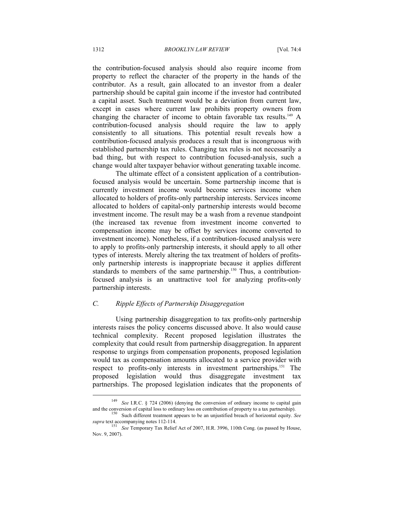the contribution-focused analysis should also require income from property to reflect the character of the property in the hands of the contributor. As a result, gain allocated to an investor from a dealer partnership should be capital gain income if the investor had contributed a capital asset. Such treatment would be a deviation from current law, except in cases where current law prohibits property owners from changing the character of income to obtain favorable tax results.<sup>149</sup> A contribution-focused analysis should require the law to apply consistently to all situations. This potential result reveals how a contribution-focused analysis produces a result that is incongruous with established partnership tax rules. Changing tax rules is not necessarily a bad thing, but with respect to contribution focused-analysis, such a change would alter taxpayer behavior without generating taxable income.

The ultimate effect of a consistent application of a contributionfocused analysis would be uncertain. Some partnership income that is currently investment income would become services income when allocated to holders of profits-only partnership interests. Services income allocated to holders of capital-only partnership interests would become investment income. The result may be a wash from a revenue standpoint (the increased tax revenue from investment income converted to compensation income may be offset by services income converted to investment income). Nonetheless, if a contribution-focused analysis were to apply to profits-only partnership interests, it should apply to all other types of interests. Merely altering the tax treatment of holders of profitsonly partnership interests is inappropriate because it applies different standards to members of the same partnership.<sup>150</sup> Thus, a contributionfocused analysis is an unattractive tool for analyzing profits-only partnership interests.

# *C. Ripple Effects of Partnership Disaggregation*

Using partnership disaggregation to tax profits-only partnership interests raises the policy concerns discussed above. It also would cause technical complexity. Recent proposed legislation illustrates the complexity that could result from partnership disaggregation. In apparent response to urgings from compensation proponents, proposed legislation would tax as compensation amounts allocated to a service provider with respect to profits-only interests in investment partnerships.<sup>151</sup> The proposed legislation would thus disaggregate investment tax partnerships. The proposed legislation indicates that the proponents of

<sup>149</sup> *See* I.R.C. § 724 (2006) (denying the conversion of ordinary income to capital gain and the conversion of capital loss to ordinary loss on contribution of property to a tax partnership).<br><sup>150</sup> Such different treatment appears to be an unjustified breach of horizontal equity. *See* 

*supra* text accompanying notes 112-114. 151 *See* Temporary Tax Relief Act of 2007, H.R. 3996, 110th Cong. (as passed by House, Nov. 9, 2007).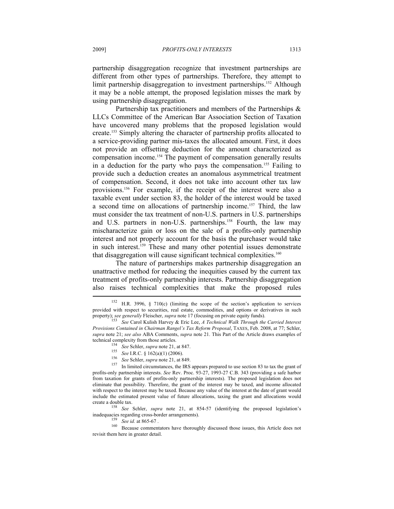partnership disaggregation recognize that investment partnerships are different from other types of partnerships. Therefore, they attempt to limit partnership disaggregation to investment partnerships.<sup>152</sup> Although it may be a noble attempt, the proposed legislation misses the mark by using partnership disaggregation.

Partnership tax practitioners and members of the Partnerships & LLCs Committee of the American Bar Association Section of Taxation have uncovered many problems that the proposed legislation would create.153 Simply altering the character of partnership profits allocated to a service-providing partner mis-taxes the allocated amount. First, it does not provide an offsetting deduction for the amount characterized as compensation income.154 The payment of compensation generally results in a deduction for the party who pays the compensation.<sup>155</sup> Failing to provide such a deduction creates an anomalous asymmetrical treatment of compensation. Second, it does not take into account other tax law provisions.156 For example, if the receipt of the interest were also a taxable event under section 83, the holder of the interest would be taxed a second time on allocations of partnership income.<sup>157</sup> Third, the law must consider the tax treatment of non-U.S. partners in U.S. partnerships and U.S. partners in non-U.S. partnerships.<sup>158</sup> Fourth, the law may mischaracterize gain or loss on the sale of a profits-only partnership interest and not properly account for the basis the purchaser would take in such interest.<sup>159</sup> These and many other potential issues demonstrate that disaggregation will cause significant technical complexities.<sup>160</sup>

The nature of partnerships makes partnership disaggregation an unattractive method for reducing the inequities caused by the current tax treatment of profits-only partnership interests. Partnership disaggregation also raises technical complexities that make the proposed rules

inadequacies regarding cross-border arrangements).<br><sup>159</sup> *See id.* at 865-67 .<br>Because commentators have thoroughly discussed those issues, this Article does not revisit them here in greater detail.

<sup>&</sup>lt;sup>152</sup> H.R. 3996, § 710(c) (limiting the scope of the section's application to services provided with respect to securities, real estate, commodities, and options or derivatives in such property); *see generally Fleischer, supra* note 17 (focusing on private equity funds).<br>
<sup>153</sup> *See Carol Kulish Harvey & Eric Lee, <i>A Technical Walk Through the Carried Interest* 

*Provisions Contained in Chairman Rangel's Tax Reform Proposal*, TAXES, Feb. 2008, at 77; Schler, *supra* note 21; *see also* ABA Comments, *supra* note 21. This Part of the Article draws examples of

technical complexity from those articles.<br>
<sup>154</sup> See Schler, *supra* note 21, at 847.<br>
<sup>155</sup> See I.R.C. § 162(a)(1) (2006).<br>
<sup>156</sup> See Schler, *supra* note 21, at 849.<br>
<sup>157</sup> In limited circumstances, the IRS appears prep profits-only partnership interests. *See* Rev. Proc. 93-27, 1993-27 C.B. 343 (providing a safe harbor from taxation for grants of profits-only partnership interests). The proposed legislation does not eliminate that possibility. Therefore, the grant of the interest may be taxed, and income allocated with respect to the interest may be taxed. Because any value of the interest at the date of grant would include the estimated present value of future allocations, taxing the grant and allocations would create a double tax. 158 *See* Schler, *supra* note 21, at 854-57 (identifying the proposed legislation's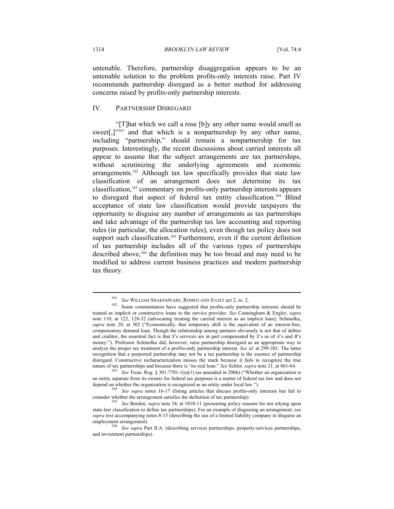untenable. Therefore, partnership disaggregation appears to be an untenable solution to the problem profits-only interests raise. Part IV recommends partnership disregard as a better method for addressing concerns raised by profits-only partnership interests.

# IV. PARTNERSHIP DISREGARD

"[T]hat which we call a rose [b]y any other name would smell as sweet<sup>[1]</sup><sup>"161</sup> and that which is a nonpartnership by any other name, including "partnership," should remain a nonpartnership for tax purposes. Interestingly, the recent discussions about carried interests all appear to assume that the subject arrangements are tax partnerships, without scrutinizing the underlying agreements and economic arrangements.<sup>162</sup> Although tax law specifically provides that state law classification of an arrangement does not determine its tax classification,163 commentary on profits-only partnership interests appears to disregard that aspect of federal tax entity classification.<sup>164</sup> Blind acceptance of state law classification would provide taxpayers the opportunity to disguise any number of arrangements as tax partnerships and take advantage of the partnership tax law accounting and reporting rules (in particular, the allocation rules), even though tax policy does not support such classification.<sup>165</sup> Furthermore, even if the current definition of tax partnership includes all of the various types of partnerships described above,<sup>166</sup> the definition may be too broad and may need to be modified to address current business practices and modern partnership tax theory.

<sup>&</sup>lt;sup>161</sup> *See* WILLIAM SHAKESPEARE, ROMEO AND JULIET act 2, sc. 2.<br><sup>162</sup> Some commentators have suggested that profits-only partnership interests should be treated as implicit or constructive loans to the service provider. *See* Cunningham & Engler, *supra* note 110, at 122, 128-32 (advocating treating the carried interest as an implicit loan); Schmolka, *supra* note 20, at 302 ("Economically, that temporary shift is the equivalent of an interest-free, compensatory demand loan. Though the relationship among partners obviously is not that of debtor and creditor, the essential fact is that *S*'s services are in part compensated by *S*'s us of *A*'s and *B*'s money."). Professor Schmolka did, however, raise partnership disregard as an appropriate way to analyze the proper tax treatment of a profits-only partnership interest. *See id.* at 299-301. The latter recognition that a purported partnership may not be a tax partnership is the essence of partnership disregard. Constructive recharacterization misses the mark because it fails to recognize the true nature of tax partnerships and because there is "no real loan." *See* Schler, *supra* note 21, at 861-64.<br><sup>163</sup> *See* Treas. Reg. § 301.7701-1(a)(1) (as amended in 2006) ("Whether an organization is

an entity separate from its owners for federal tax purposes is a matter of federal tax law and does not depend on whether the organization is recognized as an entity under local law.").<br><sup>164</sup> *See supra* notes 16-17 (listing articles that discuss profits-only interests but fail to

consider whether the arrangement satisfies the definition of tax partnership). 165 *See* Borden, *supra* note 34, at 1010-11 (presenting policy reasons for not relying upon

state-law classification to define tax partnerships). For an example of disguising an arrangement, see *supra* text accompanying notes 8-15 (describing the use of a limited liability company to disguise an

employment arrangement). 166 *See supra* Part II.A. (describing services partnerships, property-services partnerships, and investment partnerships).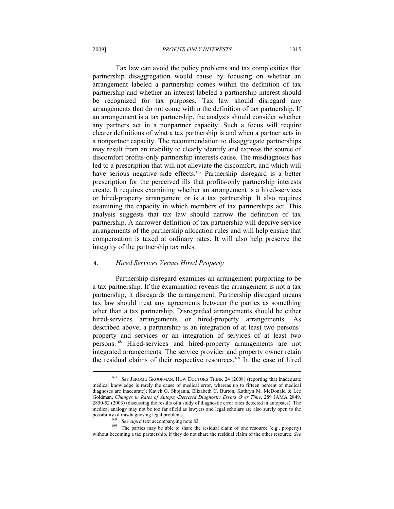2009] *PROFITS-ONLY INTERESTS* 1315

Tax law can avoid the policy problems and tax complexities that partnership disaggregation would cause by focusing on whether an arrangement labeled a partnership comes within the definition of tax partnership and whether an interest labeled a partnership interest should be recognized for tax purposes. Tax law should disregard any arrangements that do not come within the definition of tax partnership. If an arrangement is a tax partnership, the analysis should consider whether any partners act in a nonpartner capacity. Such a focus will require clearer definitions of what a tax partnership is and when a partner acts in a nonpartner capacity. The recommendation to disaggregate partnerships may result from an inability to clearly identify and express the source of discomfort profits-only partnership interests cause. The misdiagnosis has led to a prescription that will not alleviate the discomfort, and which will have serious negative side effects.<sup>167</sup> Partnership disregard is a better prescription for the perceived ills that profits-only partnership interests create. It requires examining whether an arrangement is a hired-services or hired-property arrangement or is a tax partnership. It also requires examining the capacity in which members of tax partnerships act. This analysis suggests that tax law should narrow the definition of tax partnership. A narrower definition of tax partnership will deprive service arrangements of the partnership allocation rules and will help ensure that compensation is taxed at ordinary rates. It will also help preserve the integrity of the partnership tax rules.

#### *A. Hired Services Versus Hired Property*

Partnership disregard examines an arrangement purporting to be a tax partnership. If the examination reveals the arrangement is not a tax partnership, it disregards the arrangement. Partnership disregard means tax law should treat any agreements between the parties as something other than a tax partnership. Disregarded arrangements should be either hired-services arrangements or hired-property arrangements. As described above, a partnership is an integration of at least two persons' property and services or an integration of services of at least two persons.168 Hired-services and hired-property arrangements are not integrated arrangements. The service provider and property owner retain the residual claims of their respective resources.<sup>169</sup> In the case of hired

<sup>167</sup> *See* JEROME GROOPMAN, HOW DOCTORS THINK 24 (2008) (reporting that inadequate medical knowledge is rarely the cause of medical error, whereas up to fifteen percent of medical diagnoses are inaccurate); Kaveh G. Shojania, Elizabeth C. Burton, Kathryn M. McDonald & Lee Goldman, *Changes in Rates of Autopsy-Detected Diagnostic Errors Over Time*, 289 JAMA 2849, 2850-52 (2003) (discussing the results of a study of diagnostic error rates detected in autopsies). The medical analogy may not be too far afield as lawyers and legal scholars are also surely open to the

possibility of misdiagnosing legal problems.<br><sup>168</sup> *See supra* text accompanying note 83.<br><sup>169</sup> The parties may be able to share the residual claim of one resource (e.g., property) without becoming a tax partnership, if they do not share the residual claim of the other resource. *See*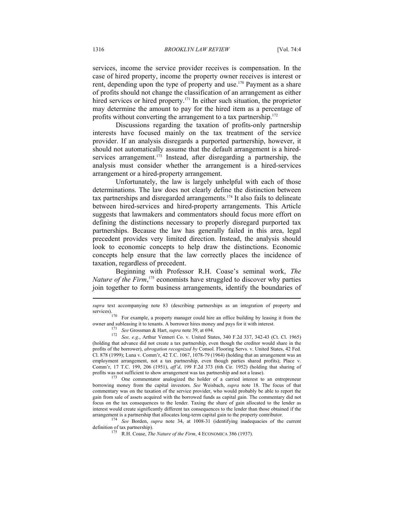services, income the service provider receives is compensation. In the case of hired property, income the property owner receives is interest or rent, depending upon the type of property and use.170 Payment as a share of profits should not change the classification of an arrangement as either hired services or hired property.<sup>171</sup> In either such situation, the proprietor may determine the amount to pay for the hired item as a percentage of profits without converting the arrangement to a tax partnership.<sup>172</sup>

Discussions regarding the taxation of profits-only partnership interests have focused mainly on the tax treatment of the service provider. If an analysis disregards a purported partnership, however, it should not automatically assume that the default arrangement is a hiredservices arrangement.<sup>173</sup> Instead, after disregarding a partnership, the analysis must consider whether the arrangement is a hired-services arrangement or a hired-property arrangement.

Unfortunately, the law is largely unhelpful with each of those determinations. The law does not clearly define the distinction between tax partnerships and disregarded arrangements.174 It also fails to delineate between hired-services and hired-property arrangements. This Article suggests that lawmakers and commentators should focus more effort on defining the distinctions necessary to properly disregard purported tax partnerships. Because the law has generally failed in this area, legal precedent provides very limited direction. Instead, the analysis should look to economic concepts to help draw the distinctions. Economic concepts help ensure that the law correctly places the incidence of taxation, regardless of precedent.

Beginning with Professor R.H. Coase's seminal work, *The Nature of the Firm*, 175 economists have struggled to discover why parties join together to form business arrangements, identify the boundaries of

For example, a property manager could hire an office building by leasing it from the

borrowing money from the capital investors. *See* Weisbach, *supra* note 18. The focus of that commentary was on the taxation of the service provider, who would probably be able to report the gain from sale of assets acquired with the borrowed funds as capital gain. The commentary did not focus on the tax consequences to the lender. Taxing the share of gain allocated to the lender as interest would create significantly different tax consequences to the lender than those obtained if the arrangement is a partnership that allocates long-term capital gain to the property contributor. 174 *See* Borden, *supra* note 34, at 1008-31 (identifying inadequacies of the current

*supra* text accompanying note 83 (describing partnerships as an integration of property and services).

owner and subleasing it to tenants. A borrower hires money and pays for it with interest.<br>
<sup>171</sup> See Grossman & Hart, *supra* note 39, at 694.<br>
<sup>172</sup> See, e.g., Arthur Venneri Co. v. United States, 340 F.2d 337, 342-43 (Ct (holding that advance did not create a tax partnership, even though the creditor would share in the profits of the borrower), *abrogation recognized by* Consol. Flooring Servs. v. United States, 42 Fed. Cl. 878 (1999); Luna v. Comm'r, 42 T.C. 1067, 1078-79 (1964) (holding that an arrangement was an employment arrangement, not a tax partnership, even though parties shared profits); Place v. Comm'r, 17 T.C. 199, 206 (1951), *aff'd*, 199 F.2d 373 (6th Cir. 1952) (holding that sharing of profits was not sufficient to show arrangement was tax partnership and not a lease).<br><sup>173</sup> One commentator analogized the holder of a carried interest to an entrepreneur

definition of tax partnership).<br><sup>175</sup> R.H. Coase, *The Nature of the Firm*, 4 ECONOMICA 386 (1937).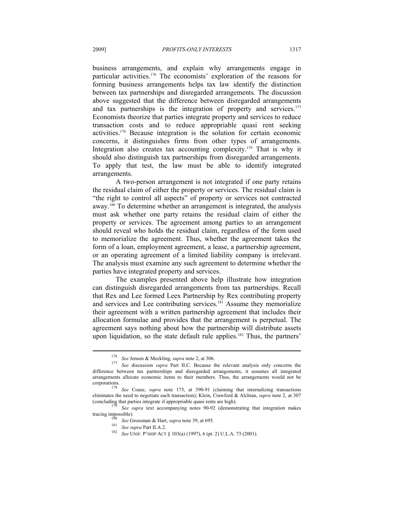business arrangements, and explain why arrangements engage in particular activities.176 The economists' exploration of the reasons for forming business arrangements helps tax law identify the distinction between tax partnerships and disregarded arrangements. The discussion above suggested that the difference between disregarded arrangements and tax partnerships is the integration of property and services.<sup>177</sup> Economists theorize that parties integrate property and services to reduce transaction costs and to reduce appropriable quasi rent seeking activities.178 Because integration is the solution for certain economic concerns, it distinguishes firms from other types of arrangements. Integration also creates tax accounting complexity.<sup>179</sup> That is why it should also distinguish tax partnerships from disregarded arrangements. To apply that test, the law must be able to identify integrated arrangements.

A two-person arrangement is not integrated if one party retains the residual claim of either the property or services. The residual claim is "the right to control all aspects" of property or services not contracted away.180 To determine whether an arrangement is integrated, the analysis must ask whether one party retains the residual claim of either the property or services. The agreement among parties to an arrangement should reveal who holds the residual claim, regardless of the form used to memorialize the agreement. Thus, whether the agreement takes the form of a loan, employment agreement, a lease, a partnership agreement, or an operating agreement of a limited liability company is irrelevant. The analysis must examine any such agreement to determine whether the parties have integrated property and services.

The examples presented above help illustrate how integration can distinguish disregarded arrangements from tax partnerships. Recall that Rex and Lee formed Leex Partnership by Rex contributing property and services and Lee contributing services.181 Assume they memorialize their agreement with a written partnership agreement that includes their allocation formulae and provides that the arrangement is perpetual. The agreement says nothing about how the partnership will distribute assets upon liquidation, so the state default rule applies.<sup>182</sup> Thus, the partners'

<sup>176</sup> *See* Jensen & Meckling, *supra* note 2, at 306. 177 *See* discussion *supra* Part II.C. Because the relevant analysis only concerns the difference between tax partnerships and disregarded arrangements, it assumes all integrated arrangements allocate economic items to their members. Thus, the arrangements would not be

<sup>&</sup>lt;sup>178</sup> *See* Coase, *supra* note 175, at 390-91 (claiming that internalizing transactions eliminates the need to negotiate each transaction); Klein, Crawford & Alchian, *supra* note 2, at 307

<sup>(</sup>concluding that parties integrate if appropriable quasi rents are high).<br>
<sup>179</sup> *See supra* text accompanying notes 90-92 (demonstrating that integration makes tracing impossible).

<sup>&</sup>lt;sup>180</sup> *See* Grossman & Hart, *supra* note 39, at 695.<br><sup>181</sup> *See supra* Part II.A.2. *See* UNIF. P'SHIP ACT § 103(a) (1997), 6 (pt. 2) U.L.A. 73 (2001).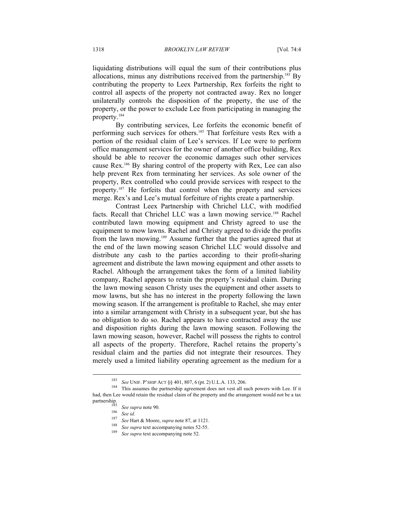liquidating distributions will equal the sum of their contributions plus allocations, minus any distributions received from the partnership.<sup>183</sup> By contributing the property to Leex Partnership, Rex forfeits the right to control all aspects of the property not contracted away. Rex no longer unilaterally controls the disposition of the property, the use of the property, or the power to exclude Lee from participating in managing the property.184

By contributing services, Lee forfeits the economic benefit of performing such services for others.185 That forfeiture vests Rex with a portion of the residual claim of Lee's services. If Lee were to perform office management services for the owner of another office building, Rex should be able to recover the economic damages such other services cause Rex.186 By sharing control of the property with Rex, Lee can also help prevent Rex from terminating her services. As sole owner of the property, Rex controlled who could provide services with respect to the property.187 He forfeits that control when the property and services merge. Rex's and Lee's mutual forfeiture of rights create a partnership.

Contrast Leex Partnership with Chrichel LLC, with modified facts. Recall that Chrichel LLC was a lawn mowing service.<sup>188</sup> Rachel contributed lawn mowing equipment and Christy agreed to use the equipment to mow lawns. Rachel and Christy agreed to divide the profits from the lawn mowing.189 Assume further that the parties agreed that at the end of the lawn mowing season Chrichel LLC would dissolve and distribute any cash to the parties according to their profit-sharing agreement and distribute the lawn mowing equipment and other assets to Rachel. Although the arrangement takes the form of a limited liability company, Rachel appears to retain the property's residual claim. During the lawn mowing season Christy uses the equipment and other assets to mow lawns, but she has no interest in the property following the lawn mowing season. If the arrangement is profitable to Rachel, she may enter into a similar arrangement with Christy in a subsequent year, but she has no obligation to do so. Rachel appears to have contracted away the use and disposition rights during the lawn mowing season. Following the lawn mowing season, however, Rachel will possess the rights to control all aspects of the property. Therefore, Rachel retains the property's residual claim and the parties did not integrate their resources. They merely used a limited liability operating agreement as the medium for a

<sup>&</sup>lt;sup>183</sup> *See* UNIF. P'SHIP ACT §§ 401, 807, 6 (pt. 2) U.L.A. 133, 206.<br><sup>184</sup> This assumes the partnership agreement does not vest all such powers with Lee. If it had, then Lee would retain the residual claim of the property and the arrangement would not be a tax

<sup>&</sup>lt;sup>153</sup> See supra note 90.<br><sup>186</sup> See id.<br><sup>187</sup> See Hart & Moore, *supra* note 87, at 1121.<br><sup>188</sup> See supra text accompanying notes 52-55.<br><sup>189</sup> See supra text accompanying note 52.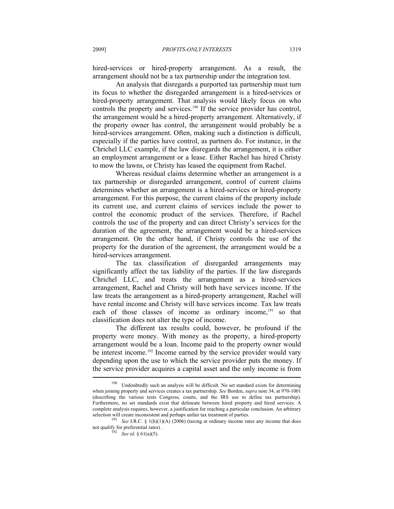hired-services or hired-property arrangement. As a result, the arrangement should not be a tax partnership under the integration test.

An analysis that disregards a purported tax partnership must turn its focus to whether the disregarded arrangement is a hired-services or hired-property arrangement. That analysis would likely focus on who controls the property and services.<sup>190</sup> If the service provider has control, the arrangement would be a hired-property arrangement. Alternatively, if the property owner has control, the arrangement would probably be a hired-services arrangement. Often, making such a distinction is difficult, especially if the parties have control, as partners do. For instance, in the Chrichel LLC example, if the law disregards the arrangement, it is either an employment arrangement or a lease. Either Rachel has hired Christy to mow the lawns, or Christy has leased the equipment from Rachel.

Whereas residual claims determine whether an arrangement is a tax partnership or disregarded arrangement, control of current claims determines whether an arrangement is a hired-services or hired-property arrangement. For this purpose, the current claims of the property include its current use, and current claims of services include the power to control the economic product of the services. Therefore, if Rachel controls the use of the property and can direct Christy's services for the duration of the agreement, the arrangement would be a hired-services arrangement. On the other hand, if Christy controls the use of the property for the duration of the agreement, the arrangement would be a hired-services arrangement.

The tax classification of disregarded arrangements may significantly affect the tax liability of the parties. If the law disregards Chrichel LLC, and treats the arrangement as a hired-services arrangement, Rachel and Christy will both have services income. If the law treats the arrangement as a hired-property arrangement, Rachel will have rental income and Christy will have services income. Tax law treats each of those classes of income as ordinary income,<sup>191</sup> so that classification does not alter the type of income.

The different tax results could, however, be profound if the property were money. With money as the property, a hired-property arrangement would be a loan. Income paid to the property owner would be interest income.<sup>192</sup> Income earned by the service provider would vary depending upon the use to which the service provider puts the money. If the service provider acquires a capital asset and the only income is from  $\overline{a}$ 

<sup>&</sup>lt;sup>190</sup> Undoubtedly such an analysis will be difficult. No set standard exists for determining when joining property and services creates a tax partnership. *See* Borden, *supra* note 34, at 970-1001 (describing the various tests Congress, courts, and the IRS use to define tax partnership). Furthermore, no set standards exist that delineate between hired property and hired services. A complete analysis requires, however, a justification for reaching a particular conclusion. An arbitrary selection will create inconsistent and perhaps unfair tax treatment of parties.<br><sup>191</sup> *See* I.R.C. § 1(h)(1)(A) (2006) (taxing at ordinary income rates any income that does

not qualify for preferential rates).<br><sup>192</sup> *See id.* § 61(a)(5).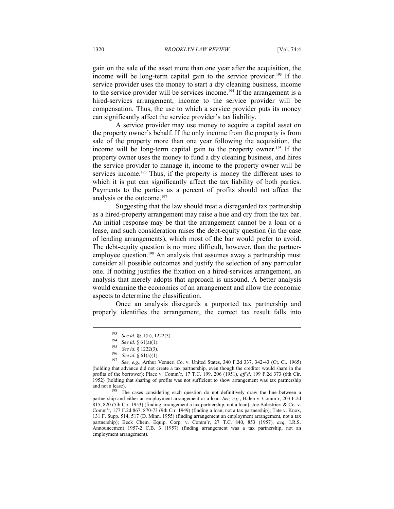gain on the sale of the asset more than one year after the acquisition, the income will be long-term capital gain to the service provider.<sup>193</sup> If the service provider uses the money to start a dry cleaning business, income to the service provider will be services income.<sup>194</sup> If the arrangement is a hired-services arrangement, income to the service provider will be compensation. Thus, the use to which a service provider puts its money can significantly affect the service provider's tax liability.

A service provider may use money to acquire a capital asset on the property owner's behalf. If the only income from the property is from sale of the property more than one year following the acquisition, the income will be long-term capital gain to the property owner.<sup>195</sup> If the property owner uses the money to fund a dry cleaning business, and hires the service provider to manage it, income to the property owner will be services income.<sup>196</sup> Thus, if the property is money the different uses to which it is put can significantly affect the tax liability of both parties. Payments to the parties as a percent of profits should not affect the analysis or the outcome.197

Suggesting that the law should treat a disregarded tax partnership as a hired-property arrangement may raise a hue and cry from the tax bar. An initial response may be that the arrangement cannot be a loan or a lease, and such consideration raises the debt-equity question (in the case of lending arrangements), which most of the bar would prefer to avoid. The debt-equity question is no more difficult, however, than the partneremployee question.<sup>198</sup> An analysis that assumes away a partnership must consider all possible outcomes and justify the selection of any particular one. If nothing justifies the fixation on a hired-services arrangement, an analysis that merely adopts that approach is unsound. A better analysis would examine the economics of an arrangement and allow the economic aspects to determine the classification.

Once an analysis disregards a purported tax partnership and properly identifies the arrangement, the correct tax result falls into

<sup>&</sup>lt;sup>193</sup> See id. §§ 1(h), 1222(3).<br>
<sup>194</sup> See id. § 61(a)(1).<br>
<sup>195</sup> See id. § 1222(3).<br>
<sup>196</sup> See id. § 61(a)(1).<br>
<sup>197</sup> See, e.g., Arthur Venneri Co. v. United States, 340 F.2d 337, 342-43 (Ct. Cl. 1965) (holding that advance did not create a tax partnership, even though the creditor would share in the profits of the borrower); Place v. Comm'r, 17 T.C. 199, 206 (1951), *aff'd*, 199 F.2d 373 (6th Cir. 1952) (holding that sharing of profits was not sufficient to show arrangement was tax partnership and not a lease).<br><sup>198</sup> The cases considering each question do not definitively draw the line between a

partnership and either an employment arrangement or a loan. *See, e.g.*, Halen v. Comm'r, 203 F.2d 815, 820 (5th Cir. 1953) (finding arrangement a tax partnership, not a loan); Joe Balestrieri & Co. v. Comm'r, 177 F.2d 867, 870-73 (9th Cir. 1949) (finding a loan, not a tax partnership); Tate v. Knox, 131 F. Supp. 514, 517 (D. Minn. 1955) (finding arrangement an employment arrangement, not a tax partnership); Beck Chem. Equip. Corp. v. Comm'r, 27 T.C. 840, 853 (1957), *acq.* I.R.S. Announcement 1957-2 C.B. 3 (1957) (finding arrangement was a tax partnership, not an employment arrangement).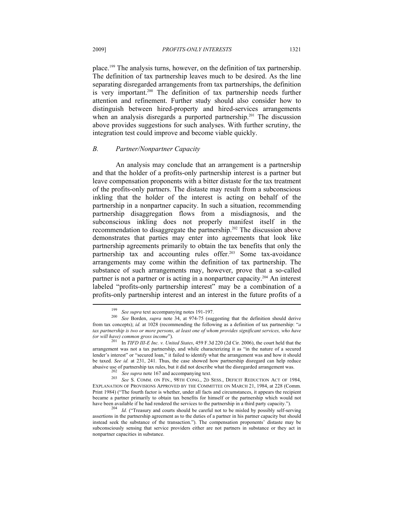place.199 The analysis turns, however, on the definition of tax partnership. The definition of tax partnership leaves much to be desired. As the line separating disregarded arrangements from tax partnerships, the definition is very important.<sup>200</sup> The definition of tax partnership needs further attention and refinement. Further study should also consider how to distinguish between hired-property and hired-services arrangements when an analysis disregards a purported partnership.<sup>201</sup> The discussion above provides suggestions for such analyses. With further scrutiny, the integration test could improve and become viable quickly.

#### *B. Partner/Nonpartner Capacity*

An analysis may conclude that an arrangement is a partnership and that the holder of a profits-only partnership interest is a partner but leave compensation proponents with a bitter distaste for the tax treatment of the profits-only partners. The distaste may result from a subconscious inkling that the holder of the interest is acting on behalf of the partnership in a nonpartner capacity. In such a situation, recommending partnership disaggregation flows from a misdiagnosis, and the subconscious inkling does not properly manifest itself in the recommendation to disaggregate the partnership.202 The discussion above demonstrates that parties may enter into agreements that look like partnership agreements primarily to obtain the tax benefits that only the partnership tax and accounting rules offer.203 Some tax-avoidance arrangements may come within the definition of tax partnership. The substance of such arrangements may, however, prove that a so-called partner is not a partner or is acting in a nonpartner capacity.<sup>204</sup> An interest labeled "profits-only partnership interest" may be a combination of a profits-only partnership interest and an interest in the future profits of a

<sup>199</sup> *See supra* text accompanying notes 191-197. 200 *See* Borden, *supra* note 34, at 974-75 (suggesting that the definition should derive from tax concepts); *id.* at 1028 (recommending the following as a definition of tax partnership: "*a tax partnership is two or more persons, at least one of whom provides significant services, who have (or will have) common gross income*").

*<sup>(</sup>or will have) common gross income*"). 201 In *TIFD III-E Inc. v. United States*, 459 F.3d 220 (2d Cir. 2006), the court held that the arrangement was not a tax partnership, and while characterizing it as "in the nature of a secured lender's interest" or "secured loan," it failed to identify what the arrangement was and how it should be taxed. *See id.* at 231, 241. Thus, the case showed how partnership disregard can help reduce abusive use of partnership tax rules, but it did not describe what the disregarded arrangement was.

<sup>&</sup>lt;sup>202</sup> See supra note 167 and accompanying text.<br><sup>203</sup> See S. COMM. ON FIN., 98TH CONG., 2D SESS., DEFICIT REDUCTION ACT OF 1984, EXPLANATION OF PROVISIONS APPROVED BY THE COMMITTEE ON MARCH 21, 1984, at 228 (Comm. Print 1984) ("The fourth factor is whether, under all facts and circumstances, it appears the recipient became a partner primarily to obtain tax benefits for himself or the partnership which would not have been available if he had rendered the services to the partnership in a third party capacity.").

<sup>&</sup>lt;sup>204</sup> *Id.* ("Treasury and courts should be careful not to be misled by possibly self-serving assertions in the partnership agreement as to the duties of a partner in his partner capacity but should instead seek the substance of the transaction."). The compensation proponents' distaste may be subconsciously sensing that service providers either are not partners in substance or they act in nonpartner capacities in substance.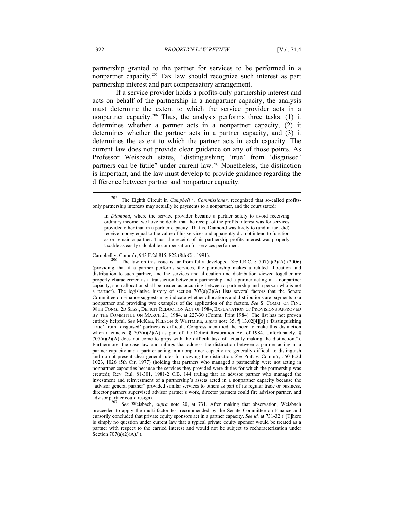partnership granted to the partner for services to be performed in a nonpartner capacity.205 Tax law should recognize such interest as part partnership interest and part compensatory arrangement.

If a service provider holds a profits-only partnership interest and acts on behalf of the partnership in a nonpartner capacity, the analysis must determine the extent to which the service provider acts in a nonpartner capacity.206 Thus, the analysis performs three tasks: (1) it determines whether a partner acts in a nonpartner capacity, (2) it determines whether the partner acts in a partner capacity, and (3) it determines the extent to which the partner acts in each capacity. The current law does not provide clear guidance on any of those points. As Professor Weisbach states, "distinguishing 'true' from 'disguised' partners can be futile" under current law.207 Nonetheless, the distinction is important, and the law must develop to provide guidance regarding the difference between partner and nonpartner capacity.

Campbell v. Comm'r, 943 F.2d 815, 822 (8th Cir. 1991). 206 The law on this issue is far from fully developed. *See* I.R.C. § 707(a)(2)(A) (2006) (providing that if a partner performs services, the partnership makes a related allocation and distribution to such partner, and the services and allocation and distribution viewed together are properly characterized as a transaction between a partnership and a partner acting in a nonpartner capacity, such allocation shall be treated as occurring between a partnership and a person who is not a partner). The legislative history of section  $707(a)(2)(A)$  lists several factors that the Senate Committee on Finance suggests may indicate whether allocations and distributions are payments to a nonpartner and providing two examples of the application of the factors. *See* S. COMM. ON FIN., 98TH CONG., 2D SESS., DEFICIT REDUCTION ACT OF 1984, EXPLANATION OF PROVISIONS APPROVED BY THE COMMITTEE ON MARCH 21, 1984, at 227-30 (Comm. Print 1984). The list has not proven entirely helpful. *See* MCKEE, NELSON & WHITMIRE, *supra* note 35, ¶ 13.02[4][a] ("Distinguishing 'true' from 'disguised' partners is difficult. Congress identified the need to make this distinction when it enacted § 707(a)(2)(A) as part of the Deficit Restoration Act of 1984. Unfortunately, § 707(a)(2)(A) does not come to grips with the difficult task of actually making the distinction."). Furthermore, the case law and rulings that address the distinction between a partner acting in a partner capacity and a partner acting in a nonpartner capacity are generally difficult to distinguish and do not present clear general rules for drawing the distinction. *See* Pratt v. Comm'r, 550 F.2d 1023, 1026 (5th Cir. 1977) (holding that partners who managed a partnership were not acting in nonpartner capacities because the services they provided were duties for which the partnership was created); Rev. Rul. 81-301, 1981-2 C.B. 144 (ruling that an advisor partner who managed the investment and reinvestment of a partnership's assets acted in a nonpartner capacity because the "advisor general partner" provided similar services to others as part of its regular trade or business, director partners supervised advisor partner's work, director partners could fire advisor partner, and advisor partner could resign). 207 *See* Weisbach, *supra* note 20, at 731. After making that observation, Weisbach

proceeded to apply the multi-factor test recommended by the Senate Committee on Finance and cursorily concluded that private equity sponsors act in a partner capacity. *See id.* at 731-32 ("[T]here is simply no question under current law that a typical private equity sponsor would be treated as a partner with respect to the carried interest and would not be subject to recharacterization under Section  $707(a)(2)(A)$ .").

<sup>205</sup> The Eighth Circuit in *Campbell v. Commissioner*, recognized that so-called profitsonly partnership interests may actually be payments to a nonpartner, and the court stated:

In *Diamond*, where the service provider became a partner solely to avoid receiving ordinary income, we have no doubt that the receipt of the profits interest was for services provided other than in a partner capacity. That is, Diamond was likely to (and in fact did) receive money equal to the value of his services and apparently did not intend to function as or remain a partner. Thus, the receipt of his partnership profits interest was properly taxable as easily calculable compensation for services performed.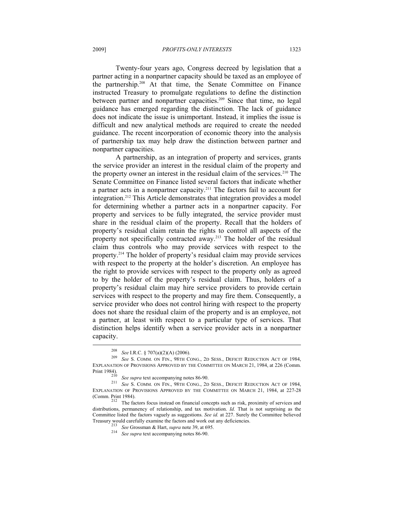Twenty-four years ago, Congress decreed by legislation that a partner acting in a nonpartner capacity should be taxed as an employee of the partnership.208 At that time, the Senate Committee on Finance instructed Treasury to promulgate regulations to define the distinction between partner and nonpartner capacities.<sup>209</sup> Since that time, no legal guidance has emerged regarding the distinction. The lack of guidance does not indicate the issue is unimportant. Instead, it implies the issue is difficult and new analytical methods are required to create the needed guidance. The recent incorporation of economic theory into the analysis of partnership tax may help draw the distinction between partner and nonpartner capacities.

A partnership, as an integration of property and services, grants the service provider an interest in the residual claim of the property and the property owner an interest in the residual claim of the services.<sup>210</sup> The Senate Committee on Finance listed several factors that indicate whether a partner acts in a nonpartner capacity.211 The factors fail to account for integration.212 This Article demonstrates that integration provides a model for determining whether a partner acts in a nonpartner capacity. For property and services to be fully integrated, the service provider must share in the residual claim of the property. Recall that the holders of property's residual claim retain the rights to control all aspects of the property not specifically contracted away.213 The holder of the residual claim thus controls who may provide services with respect to the property.214 The holder of property's residual claim may provide services with respect to the property at the holder's discretion. An employee has the right to provide services with respect to the property only as agreed to by the holder of the property's residual claim. Thus, holders of a property's residual claim may hire service providers to provide certain services with respect to the property and may fire them. Consequently, a service provider who does not control hiring with respect to the property does not share the residual claim of the property and is an employee, not a partner, at least with respect to a particular type of services. That distinction helps identify when a service provider acts in a nonpartner capacity.  $\overline{\phantom{a}}$ 

<sup>208</sup> *See* I.R.C. § 707(a)(2)(A) (2006). 209 *See* S. COMM. ON FIN., 98TH CONG., 2D SESS., DEFICIT REDUCTION ACT OF 1984, EXPLANATION OF PROVISIONS APPROVED BY THE COMMITTEE ON MARCH 21, 1984, at 226 (Comm.<br>Print 1984).

<sup>&</sup>lt;sup>210</sup> *See supra* text accompanying notes 86-90.<br><sup>211</sup> *See* S. COMM. ON FIN., 98TH CONG., 2D SESS., DEFICIT REDUCTION ACT OF 1984, EXPLANATION OF PROVISIONS APPROVED BY THE COMMITTEE ON MARCH 21, 1984, at 227-28 (Comm. Print 1984). 212 The factors focus instead on financial concepts such as risk, proximity of services and

distributions, permanency of relationship, and tax motivation. *Id.* That is not surprising as the Committee listed the factors vaguely as suggestions. *See id.* at 227. Surely the Committee believed

<sup>&</sup>lt;sup>213</sup> *See* Grossman & Hart, *supra* note 39, at 695.<br><sup>214</sup> *See supra* text accompanying notes 86-90.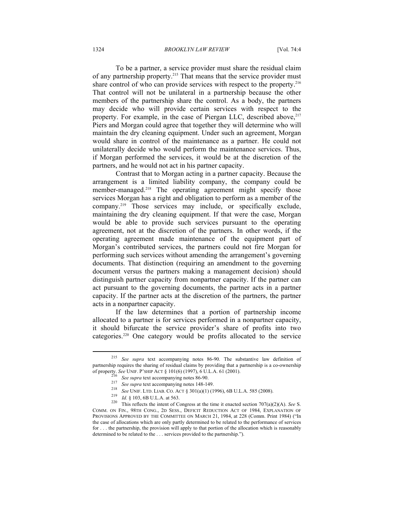To be a partner, a service provider must share the residual claim of any partnership property.215 That means that the service provider must share control of who can provide services with respect to the property.<sup>216</sup> That control will not be unilateral in a partnership because the other members of the partnership share the control. As a body, the partners may decide who will provide certain services with respect to the property. For example, in the case of Piergan LLC, described above, <sup>217</sup> Piers and Morgan could agree that together they will determine who will maintain the dry cleaning equipment. Under such an agreement, Morgan would share in control of the maintenance as a partner. He could not unilaterally decide who would perform the maintenance services. Thus, if Morgan performed the services, it would be at the discretion of the partners, and he would not act in his partner capacity.

Contrast that to Morgan acting in a partner capacity. Because the arrangement is a limited liability company, the company could be member-managed.<sup>218</sup> The operating agreement might specify those services Morgan has a right and obligation to perform as a member of the company.219 Those services may include, or specifically exclude, maintaining the dry cleaning equipment. If that were the case, Morgan would be able to provide such services pursuant to the operating agreement, not at the discretion of the partners. In other words, if the operating agreement made maintenance of the equipment part of Morgan's contributed services, the partners could not fire Morgan for performing such services without amending the arrangement's governing documents. That distinction (requiring an amendment to the governing document versus the partners making a management decision) should distinguish partner capacity from nonpartner capacity. If the partner can act pursuant to the governing documents, the partner acts in a partner capacity. If the partner acts at the discretion of the partners, the partner acts in a nonpartner capacity.

If the law determines that a portion of partnership income allocated to a partner is for services performed in a nonpartner capacity, it should bifurcate the service provider's share of profits into two categories.220 One category would be profits allocated to the service

<sup>215</sup> *See supra* text accompanying notes 86-90. The substantive law definition of partnership requires the sharing of residual claims by providing that a partnership is a co-ownership of property. See UNIF. P'SHIP ACT § 101(6) (1997), 6 U.L.A. 61 (2001).

<sup>216</sup> See supra text accompanying notes 86-90.<br>
<sup>217</sup> See supra text accompanying notes 86-90.<br>
<sup>218</sup> See UNIF. LTD. LIAB. CO. ACT § 301(a)(1) (1996), 6B U.L.A. 585 (2008).<br>
<sup>219</sup> Id. § 103, 6B U.L.A. at 563.<br>
<sup>219</sup> This re COMM. ON FIN., 98TH CONG., 2D SESS., DEFICIT REDUCTION ACT OF 1984, EXPLANATION OF PROVISIONS APPROVED BY THE COMMITTEE ON MARCH 21, 1984, at 228 (Comm. Print 1984) ("In the case of allocations which are only partly determined to be related to the performance of services for . . . the partnership, the provision will apply to that portion of the allocation which is reasonably determined to be related to the . . . services provided to the partnership.").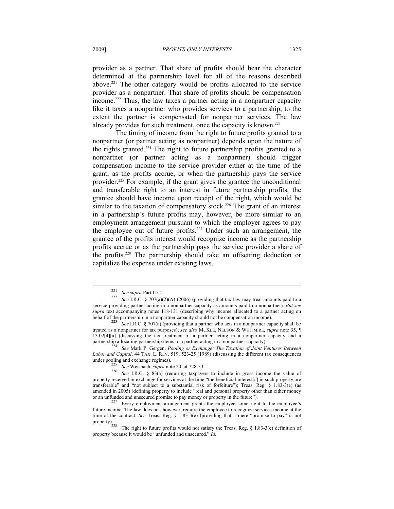provider as a partner. That share of profits should bear the character determined at the partnership level for all of the reasons described above.221 The other category would be profits allocated to the service provider as a nonpartner. That share of profits should be compensation income.222 Thus, the law taxes a partner acting in a nonpartner capacity like it taxes a nonpartner who provides services to a partnership, to the extent the partner is compensated for nonpartner services. The law already provides for such treatment, once the capacity is known.<sup>223</sup>

The timing of income from the right to future profits granted to a nonpartner (or partner acting as nonpartner) depends upon the nature of the rights granted.224 The right to future partnership profits granted to a nonpartner (or partner acting as a nonpartner) should trigger compensation income to the service provider either at the time of the grant, as the profits accrue, or when the partnership pays the service provider.225 For example, if the grant gives the grantee the unconditional and transferable right to an interest in future partnership profits, the grantee should have income upon receipt of the right, which would be similar to the taxation of compensatory stock.<sup>226</sup> The grant of an interest in a partnership's future profits may, however, be more similar to an employment arrangement pursuant to which the employer agrees to pay the employee out of future profits.227 Under such an arrangement, the grantee of the profits interest would recognize income as the partnership profits accrue or as the partnership pays the service provider a share of the profits.228 The partnership should take an offsetting deduction or capitalize the expense under existing laws.

<sup>&</sup>lt;sup>221</sup> *See supra* Part II.C. *S* 707(a)(2)(A) (2006) (providing that tax law may treat amounts paid to a 222 *See* I.R.C. § 707(a)(2)(A) (2006) (providing that tax law may treat amounts paid to a service-providing partner acting in a nonpartner capacity as amounts paid to a nonpartner). *But see supra* text accompanying notes 118-131 (describing why income allocated to a partner acting on behalf of the partnership in a nonpartner capacity should not be compensation income). 223 *See* I.R.C. § 707(a) (providing that a partner who acts in a nonpartner capacity shall be

treated as a nonpartner for tax purposes); *see also* MCKEE, NELSON & WHITMIRE, *supra* note 35, ¶ 13.02[4][a] (discussing the tax treatment of a partner acting in a nonpartner capacity and a

<sup>&</sup>lt;sup>4</sup> See Mark P. Gergen, *Pooling or Exchange: The Taxation of Joint Ventures Between Labor and Capital*, 44 TAX. L. REV. 519, 523-25 (1989) (discussing the different tax consequences

under pooling and exchange regimes). 225 *See* Weisbach, *supra* note 20, at 728-33. 226 *See* I.R.C. § 83(a) (requiring taxpayers to include in gross income the value of property received in exchange for services at the time "the beneficial interest[s] in such property are transferable" and "not subject to a substantial risk of forfeiture"); Treas. Reg.  $\S$  1.83-3(e) (as amended in 2005) (defining property to include "real and personal property other than either money or an unfunded and unsecured promise to pay money or property in the future").

 $227$  Every employment arrangement grants the employee some right to the employee's future income. The law does not, however, require the employee to recognize services income at the time of the contract. *See* Treas. Reg. § 1.83-3(e) (providing that a mere "promise to pay" is not property).

The right to future profits would not satisfy the Treas. Reg.  $\S$  1.83-3(e) definition of property because it would be "unfunded and unsecured." *Id.*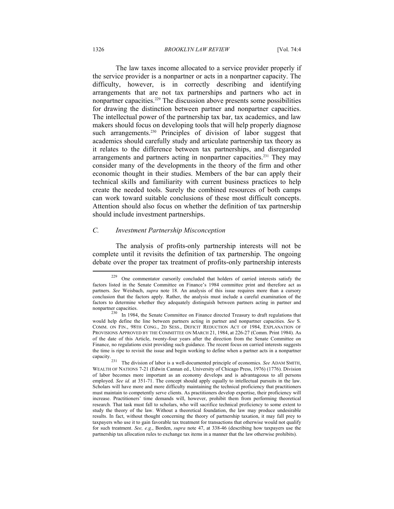#### 1326 *BROOKLYN LAW REVIEW* [Vol. 74:4

The law taxes income allocated to a service provider properly if the service provider is a nonpartner or acts in a nonpartner capacity. The difficulty, however, is in correctly describing and identifying arrangements that are not tax partnerships and partners who act in nonpartner capacities.<sup>229</sup> The discussion above presents some possibilities for drawing the distinction between partner and nonpartner capacities. The intellectual power of the partnership tax bar, tax academics, and law makers should focus on developing tools that will help properly diagnose such arrangements.<sup>230</sup> Principles of division of labor suggest that academics should carefully study and articulate partnership tax theory as it relates to the difference between tax partnerships, and disregarded arrangements and partners acting in nonpartner capacities.<sup>231</sup> They may consider many of the developments in the theory of the firm and other economic thought in their studies. Members of the bar can apply their technical skills and familiarity with current business practices to help create the needed tools. Surely the combined resources of both camps can work toward suitable conclusions of these most difficult concepts. Attention should also focus on whether the definition of tax partnership should include investment partnerships.

# *C. Investment Partnership Misconception*

The analysis of profits-only partnership interests will not be complete until it revisits the definition of tax partnership. The ongoing debate over the proper tax treatment of profits-only partnership interests

<sup>229</sup> One commentator cursorily concluded that holders of carried interests satisfy the factors listed in the Senate Committee on Finance's 1984 committee print and therefore act as partners. *See* Weisbach, *supra* note 18. An analysis of this issue requires more than a cursory conclusion that the factors apply. Rather, the analysis must include a careful examination of the factors to determine whether they adequately distinguish between partners acting in partner and

nonpartner capacities.<br><sup>230</sup> In 1984, the Senate Committee on Finance directed Treasury to draft regulations that would help define the line between partners acting in partner and nonpartner capacities. *See* S. COMM. ON FIN., 98TH CONG., 2D SESS., DEFICIT REDUCTION ACT OF 1984, EXPLANATION OF PROVISIONS APPROVED BY THE COMMITTEE ON MARCH 21, 1984, at 226-27 (Comm. Print 1984). As of the date of this Article, twenty-four years after the direction from the Senate Committee on Finance, no regulations exist providing such guidance. The recent focus on carried interests suggests the time is ripe to revisit the issue and begin working to define when a partner acts in a nonpartner capacity.<br>Capacity.

The division of labor is a well-documented principle of economics. See ADAM SMITH, WEALTH OF NATIONS 7-21 (Edwin Cannan ed., University of Chicago Press, 1976) (1776). Division of labor becomes more important as an economy develops and is advantageous to all persons employed. *See id.* at 351-71. The concept should apply equally to intellectual pursuits in the law. Scholars will have more and more difficulty maintaining the technical proficiency that practitioners must maintain to competently serve clients. As practitioners develop expertise, their proficiency will increase. Practitioners' time demands will, however, prohibit them from performing theoretical research. That task must fall to scholars, who will sacrifice technical proficiency to some extent to study the theory of the law. Without a theoretical foundation, the law may produce undesirable results. In fact, without thought concerning the theory of partnership taxation, it may fall prey to taxpayers who use it to gain favorable tax treatment for transactions that otherwise would not qualify for such treatment. *See, e.g.*, Borden, *supra* note 47, at 338-46 (describing how taxpayers use the partnership tax allocation rules to exchange tax items in a manner that the law otherwise prohibits).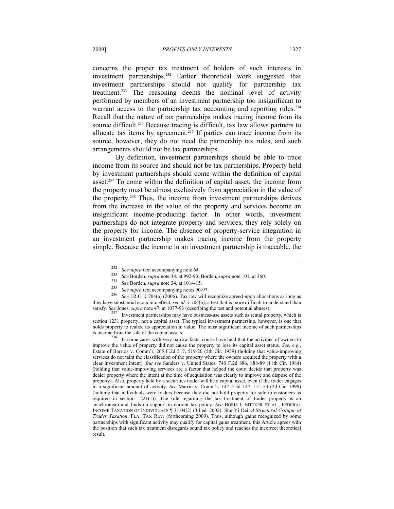concerns the proper tax treatment of holders of such interests in investment partnerships.<sup>232</sup> Earlier theoretical work suggested that investment partnerships should not qualify for partnership tax treatment.<sup>233</sup> The reasoning deems the nominal level of activity performed by members of an investment partnership too insignificant to warrant access to the partnership tax accounting and reporting rules.<sup>234</sup> Recall that the nature of tax partnerships makes tracing income from its source difficult.<sup>235</sup> Because tracing is difficult, tax law allows partners to allocate tax items by agreement.236 If parties can trace income from its source, however, they do not need the partnership tax rules, and such arrangements should not be tax partnerships.

By definition, investment partnerships should be able to trace income from its source and should not be tax partnerships. Property held by investment partnerships should come within the definition of capital asset.237 To come within the definition of capital asset, the income from the property must be almost exclusively from appreciation in the value of the property.238 Thus, the income from investment partnerships derives from the increase in the value of the property and services become an insignificant income-producing factor. In other words, investment partnerships do not integrate property and services; they rely solely on the property for income. The absence of property-service integration in an investment partnership makes tracing income from the property simple. Because the income in an investment partnership is traceable, the

<sup>&</sup>lt;sup>232</sup> See supra text accompanying note 64.<br><sup>233</sup> See Borden, *supra* note 34, at 992-93; Borden, *supra* note 101, at 360.<br><sup>234</sup> See Borden, *supra* note 34, at 1014-15.<br><sup>235</sup> See supra text accompanying notes 90-97.<br><sup>236</sup> they have substantial economic effect, *see id*. § 704(b), a test that is more difficult to understand than satisfy. *See* Jones, *supra* note 47, at 1077-93 (describing the test and potential abuses).

<sup>&</sup>lt;sup>237</sup> Investment partnerships may have business-use assets such as rental property, which is section 1231 property, not a capital asset. The typical investment partnership, however, is one that holds property to realize its appreciation in value. The most significant income of such partnerships is income from the sale of the capital assets.<br><sup>238</sup> In some cases with very narrow facts, courts have held that the activities of owners to

improve the value of property did not cause the property to lose its capital asset status. *See, e.g.*, Estate of Barrios v. Comm'r, 265 F.2d 517, 519-20 (5th Cir. 1959) (holding that value-improving services do not taint the classification of the property where the owners acquired the property with a clear investment intent). *But see* Sanders v. United States, 740 F.2d 886, 888-89 (11th Cir. 1984) (holding that value-improving services are a factor that helped the court decide that property was dealer property where the intent at the time of acquisition was clearly to improve and dispose of the property). Also, property held by a securities trader will be a capital asset, even if the trader engages in a significant amount of activity. *See* Marrin v. Comm'r, 147 F.3d 147, 151-53 (2d Cir. 1998) (holding that individuals were traders because they did not hold property for sale to customers as required in section  $1221(1)$ ). The rule regarding the tax treatment of trader property is an anachronism and finds no support in current tax policy. *See* BORIS I. BITTKER ET AL., FEDERAL INCOME TAXATION OF INDIVIDUALS ¶ 31.04[2] (3d ed. 2002); Shu-Yi Oei, *A Structural Critique of Trader Taxation*, FLA. TAX REV. (forthcoming 2009). Thus, although gains recognized by some partnerships with significant activity may qualify for capital gains treatment, this Article agrees with the position that such tax treatment disregards sound tax policy and reaches the incorrect theoretical result.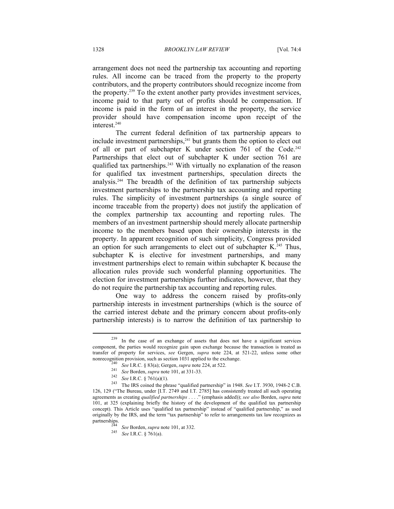arrangement does not need the partnership tax accounting and reporting rules. All income can be traced from the property to the property contributors, and the property contributors should recognize income from the property.239 To the extent another party provides investment services, income paid to that party out of profits should be compensation. If income is paid in the form of an interest in the property, the service provider should have compensation income upon receipt of the interest.<sup>240</sup>

The current federal definition of tax partnership appears to include investment partnerships, $241$  but grants them the option to elect out of all or part of subchapter K under section 761 of the Code.<sup>242</sup> Partnerships that elect out of subchapter K under section 761 are qualified tax partnerships.<sup>243</sup> With virtually no explanation of the reason for qualified tax investment partnerships, speculation directs the analysis.244 The breadth of the definition of tax partnership subjects investment partnerships to the partnership tax accounting and reporting rules. The simplicity of investment partnerships (a single source of income traceable from the property) does not justify the application of the complex partnership tax accounting and reporting rules. The members of an investment partnership should merely allocate partnership income to the members based upon their ownership interests in the property. In apparent recognition of such simplicity, Congress provided an option for such arrangements to elect out of subchapter  $K<sup>245</sup>$ . Thus, subchapter K is elective for investment partnerships, and many investment partnerships elect to remain within subchapter K because the allocation rules provide such wonderful planning opportunities. The election for investment partnerships further indicates, however, that they do not require the partnership tax accounting and reporting rules.

One way to address the concern raised by profits-only partnership interests in investment partnerships (which is the source of the carried interest debate and the primary concern about profits-only partnership interests) is to narrow the definition of tax partnership to

<sup>239</sup> In the case of an exchange of assets that does not have a significant services component, the parties would recognize gain upon exchange because the transaction is treated as transfer of property for services, *see* Gergen, *supra* note 224, at 521-22, unless some other

nonrecognition provision, such as section 1031 applied to the exchange.<br>
<sup>240</sup> See I.R.C. § 83(a); Gergen, *supra* note 224, at 522.<br>
<sup>241</sup> See Borden, *supra* note 101, at 331-33.<br>
<sup>242</sup> See I.R.C. § 761(a)(1).<br>
<sup>243</sup> Th 126, 129 ("The Bureau, under [I.T. 2749 and I.T. 2785] has consistently treated all such operating agreements as creating *qualified partnerships* . . . ." (emphasis added)); *see also* Borden, *supra* note 101, at 325 (explaining briefly the history of the development of the qualified tax partnership concept). This Article uses "qualified tax partnership" instead of "qualified partnership," as used originally by the IRS, and the term "tax partnership" to refer to arrangements tax law recognizes as

<sup>244</sup> *See* Borden, *supra* note 101, at 332.<br>245 *See* I.R.C. § 761(a).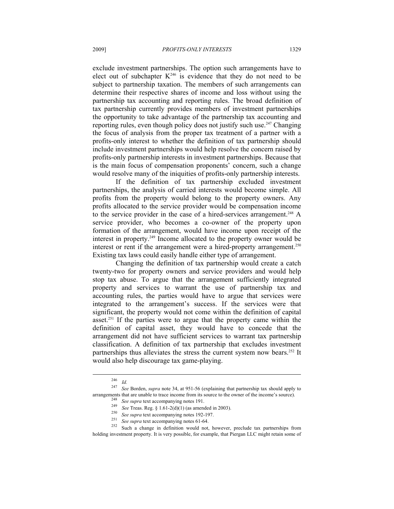exclude investment partnerships. The option such arrangements have to elect out of subchapter  $K^{246}$  is evidence that they do not need to be subject to partnership taxation. The members of such arrangements can determine their respective shares of income and loss without using the partnership tax accounting and reporting rules. The broad definition of tax partnership currently provides members of investment partnerships the opportunity to take advantage of the partnership tax accounting and reporting rules, even though policy does not justify such use.<sup>247</sup> Changing the focus of analysis from the proper tax treatment of a partner with a profits-only interest to whether the definition of tax partnership should include investment partnerships would help resolve the concern raised by profits-only partnership interests in investment partnerships. Because that is the main focus of compensation proponents' concern, such a change would resolve many of the iniquities of profits-only partnership interests.

If the definition of tax partnership excluded investment partnerships, the analysis of carried interests would become simple. All profits from the property would belong to the property owners. Any profits allocated to the service provider would be compensation income to the service provider in the case of a hired-services arrangement.<sup>248</sup> A service provider, who becomes a co-owner of the property upon formation of the arrangement, would have income upon receipt of the interest in property.249 Income allocated to the property owner would be interest or rent if the arrangement were a hired-property arrangement.<sup>250</sup> Existing tax laws could easily handle either type of arrangement.

Changing the definition of tax partnership would create a catch twenty-two for property owners and service providers and would help stop tax abuse. To argue that the arrangement sufficiently integrated property and services to warrant the use of partnership tax and accounting rules, the parties would have to argue that services were integrated to the arrangement's success. If the services were that significant, the property would not come within the definition of capital asset.251 If the parties were to argue that the property came within the definition of capital asset, they would have to concede that the arrangement did not have sufficient services to warrant tax partnership classification. A definition of tax partnership that excludes investment partnerships thus alleviates the stress the current system now bears.<sup>252</sup> It would also help discourage tax game-playing.

<sup>246</sup>*Id.* <sup>247</sup> *See* Borden, *supra* note 34, at 951-56 (explaining that partnership tax should apply to arrangements that are unable to trace income from its source to the owner of the income's source).<br>
<sup>248</sup> See supra text accompanying notes 191.<br>
<sup>249</sup> See Treas. Reg. § 1.61-2(d)(1) (as amended in 2003).<br>
<sup>250</sup> See supra

holding investment property. It is very possible, for example, that Piergan LLC might retain some of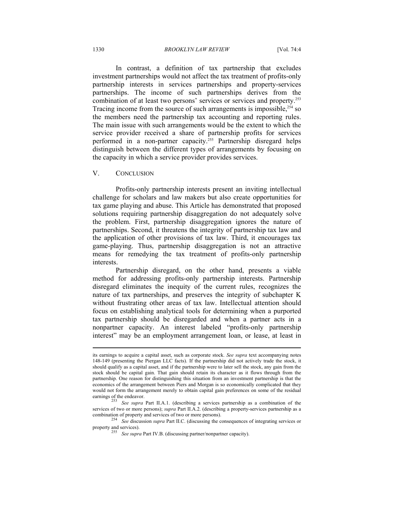#### 1330 *BROOKLYN LAW REVIEW* [Vol. 74:4

In contrast, a definition of tax partnership that excludes investment partnerships would not affect the tax treatment of profits-only partnership interests in services partnerships and property-services partnerships. The income of such partnerships derives from the combination of at least two persons' services or services and property.253 Tracing income from the source of such arrangements is impossible, $254$  so the members need the partnership tax accounting and reporting rules. The main issue with such arrangements would be the extent to which the service provider received a share of partnership profits for services performed in a non-partner capacity.<sup>255</sup> Partnership disregard helps distinguish between the different types of arrangements by focusing on the capacity in which a service provider provides services.

# V. CONCLUSION

 $\overline{a}$ 

Profits-only partnership interests present an inviting intellectual challenge for scholars and law makers but also create opportunities for tax game playing and abuse. This Article has demonstrated that proposed solutions requiring partnership disaggregation do not adequately solve the problem. First, partnership disaggregation ignores the nature of partnerships. Second, it threatens the integrity of partnership tax law and the application of other provisions of tax law. Third, it encourages tax game-playing. Thus, partnership disaggregation is not an attractive means for remedying the tax treatment of profits-only partnership interests.

Partnership disregard, on the other hand, presents a viable method for addressing profits-only partnership interests. Partnership disregard eliminates the inequity of the current rules, recognizes the nature of tax partnerships, and preserves the integrity of subchapter K without frustrating other areas of tax law. Intellectual attention should focus on establishing analytical tools for determining when a purported tax partnership should be disregarded and when a partner acts in a nonpartner capacity. An interest labeled "profits-only partnership interest" may be an employment arrangement loan, or lease, at least in

its earnings to acquire a capital asset, such as corporate stock. *See supra* text accompanying notes 148-149 (presenting the Piergan LLC facts). If the partnership did not actively trade the stock, it should qualify as a capital asset, and if the partnership were to later sell the stock, any gain from the stock should be capital gain. That gain should retain its character as it flows through from the partnership. One reason for distinguishing this situation from an investment partnership is that the economics of the arrangement between Piers and Morgan is so economically complicated that they would not form the arrangement merely to obtain capital gain preferences on some of the residual

earnings of the endeavor.<br><sup>253</sup> *See supra* Part II.A.1. (describing a services partnership as a combination of the services of two or more persons); *supra* Part II.A.2. (describing a property-services partnership as a combination of property and services of two or more persons). 254 *See* discussion *supra* Part II.C. (discussing the consequences of integrating services or

property and services). 255 *See supra* Part IV.B. (discussing partner/nonpartner capacity).